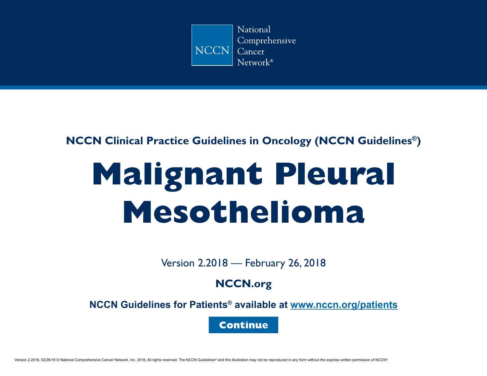

### **NCCN Clinical Practice Guidelines in Oncology (NCCN Guidelines®)**

# **Malignant Pleural Mesothelioma**

Version 2.2018 — February 26, 2018

**[NCCN.org](http://www.nccn.org/index.asp)**

**NCCN Guidelines for Patients® available at [www.nccn.org/patients](http://www.nccn.org/patients)**

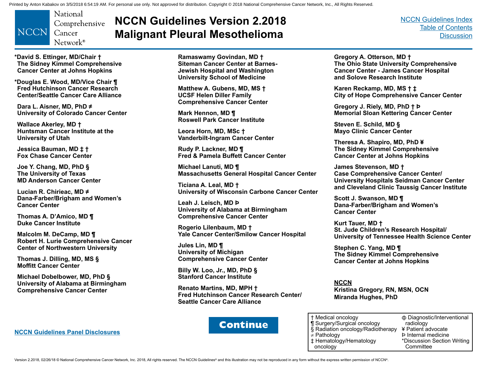<span id="page-1-0"></span>

# **NCCN Guidelines Version 2.2018 Malignant Pleural Mesothelioma**

[NCCN Guidelines Index](http://www.nccn.org/professionals/physician_gls/f_guidelines.asp) [Table of Contents](#page-2-0) **[Discussion](#page-16-0)** 

**\*David S. Ettinger, MD/Chair † The Sidney Kimmel Comprehensive Cancer Center at Johns Hopkins**

**\*Douglas E. Wood, MD/Vice Chair ¶ Fred Hutchinson Cancer Research Center/Seattle Cancer Care Alliance**

**Dara L. Aisner, MD, PhD ≠ University of Colorado Cancer Center**

**Wallace Akerley, MD † Huntsman Cancer Institute at the University of Utah**

**Jessica Bauman, MD ‡ † Fox Chase Cancer Center**

**Joe Y. Chang, MD, PhD § The University of Texas MD Anderson Cancer Center**

**Lucian R. Chirieac, MD ≠ Dana-Farber/Brigham and Women's Cancer Center**

**Thomas A. D'Amico, MD ¶ Duke Cancer Institute**

**Malcolm M. DeCamp, MD ¶ Robert H. Lurie Comprehensive Cancer Center of Northwestern University**

**Thomas J. Dilling, MD, MS § Moffitt Cancer Center**

**Michael Dobelbower, MD, PhD § University of Alabama at Birmingham Comprehensive Cancer Center**

**Ramaswamy Govindan, MD † Siteman Cancer Center at Barnes-Jewish Hospital and Washington University School of Medicine**

**Matthew A. Gubens, MD, MS † UCSF Helen Diller Family Comprehensive Cancer Center**

**Mark Hennon, MD ¶ Roswell Park Cancer Institute**

**Leora Horn, MD, MSc † Vanderbilt-Ingram Cancer Center**

**Rudy P. Lackner, MD ¶ Fred & Pamela Buffett Cancer Center**

**Michael Lanuti, MD ¶ Massachusetts General Hospital Cancer Center**

**Ticiana A. Leal, MD † University of Wisconsin Carbone Cancer Center**

**Leah J. Leisch, MD Þ University of Alabama at Birmingham Comprehensive Cancer Center**

**Rogerio Lilenbaum, MD † Yale Cancer Center/Smilow Cancer Hospital**

**Jules Lin, MD ¶ University of Michigan Comprehensive Cancer Center**

**Billy W. Loo, Jr., MD, PhD § Stanford Cancer Institute** 

**Renato Martins, MD, MPH † Fred Hutchinson Cancer Research Center/ Seattle Cancer Care Alliance**



**Gregory A. Otterson, MD † The Ohio State University Comprehensive Cancer Center - James Cancer Hospital and Solove Research Institute**

**Karen Reckamp, MD, MS † ‡ City of Hope Comprehensive Cancer Center**

**Gregory J. Riely, MD, PhD † Þ Memorial Sloan Kettering Cancer Center**

**Steven E. Schild, MD § Mayo Clinic Cancer Center**

**Theresa A. Shapiro, MD, PhD ¥ The Sidney Kimmel Comprehensive Cancer Center at Johns Hopkins** 

**James Stevenson, MD † Case Comprehensive Cancer Center/ University Hospitals Seidman Cancer Center and Cleveland Clinic Taussig Cancer Institute**

**Scott J. Swanson, MD ¶ Dana-Farber/Brigham and Women's Cancer Center** 

**Kurt Tauer, MD † St. Jude Children's Research Hospital/ University of Tennessee Health Science Center**

**Stephen C. Yang, MD ¶ The Sidney Kimmel Comprehensive Cancer Center at Johns Hopkins**

**NCCN Kristina Gregory, RN, MSN, OCN Miranda Hughes, PhD**

| ↑ Medical oncology                | ф Diagnostic/Interventional |
|-----------------------------------|-----------------------------|
| │ ¶ Surgery/Surgical oncology     | radiology                   |
| § Radiation oncology/Radiotherapy | ¥ Patient advocate          |
| $\neq$ Pathology                  | <b>P</b> Internal medicine  |
| ‡ Hematology/Hematology           | *Discussion Section Writing |
| oncology                          | Committee                   |

**[NCCN Guidelines Panel Disclosures](http://www.nccn.org/disclosures/panel_list.asp?ID=40)**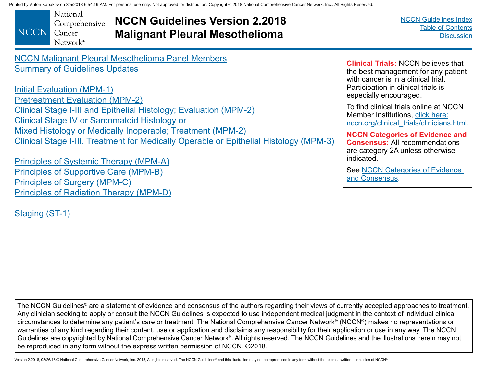<span id="page-2-0"></span>

**NCCN Guidelines Version 2.2018 Malignant Pleural Mesothelioma**

[NCCN Guidelines Index](http://www.nccn.org/professionals/physician_gls/f_guidelines.asp) Table of Contents **[Discussion](#page-16-0)** 

[NCCN Malignant Pleural Mesothelioma Panel Members](#page-1-0) [Summary of Guidelines Updates](#page-3-0)

[Initial Evaluation \(MPM-1\)](#page-5-0) [Pretreatment Evaluation \(MPM-2\)](#page-6-0) [Clinical Stage I-III and Epithelial Histology; Evaluation \(MPM-2\)](#page-6-0) [Clinical Stage IV or Sarcomatoid Histology or](#page-6-0)  [Mixed Histology or Medically Inoperable; Treatment \(MPM-2\)](#page-6-0) [Clinical Stage I-III, Treatment for Medically Operable or Epithelial Histology \(MPM-3\)](#page-7-0)

[Principles of Systemic Therapy \(MPM-A\)](#page-8-0) [Principles of Supportive Care \(MPM-B\)](#page-10-0) [Principles of Surgery \(MPM-C\)](#page-11-0) [Principles of Radiation Therapy \(MPM-D\)](#page-12-0)

[Staging \(ST-1\)](#page-15-0)

**Clinical Trials:** NCCN believes that the best management for any patient with cancer is in a clinical trial. Participation in clinical trials is especially encouraged.

To find clinical trials online at NCCN Member Institutions, [click here:](http://www.nccn.org/clinical_trials/clinicians.aspx) [nccn.org/clinical\\_trials/clinicians.html](http://www.nccn.org/clinical_trials/clinicians.aspx).

**NCCN Categories of Evidence and Consensus:** All recommendations are category 2A unless otherwise indicated.

See [NCCN Categories of Evidence](#page-16-0)  [and Consensus](#page-16-0).

The NCCN Guidelines<sup>®</sup> are a statement of evidence and consensus of the authors regarding their views of currently accepted approaches to treatment. Any clinician seeking to apply or consult the NCCN Guidelines is expected to use independent medical judgment in the context of individual clinical circumstances to determine any patient's care or treatment. The National Comprehensive Cancer Network® (NCCN®) makes no representations or warranties of any kind regarding their content, use or application and disclaims any responsibility for their application or use in any way. The NCCN Guidelines are copyrighted by National Comprehensive Cancer Network®. All rights reserved. The NCCN Guidelines and the illustrations herein may not be reproduced in any form without the express written permission of NCCN. ©2018.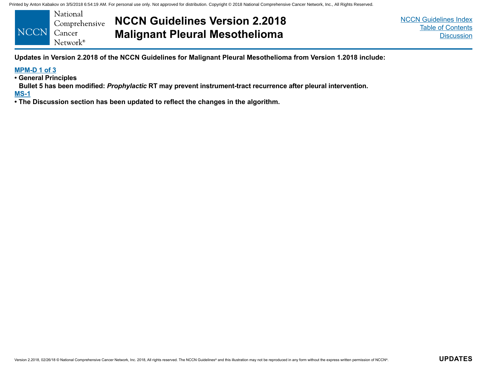<span id="page-3-0"></span>

**NCCN Guidelines Version 2.2018 Malignant Pleural Mesothelioma**

[NCCN Guidelines Index](http://www.nccn.org/professionals/physician_gls/f_guidelines.asp) [Table of Contents](#page-2-0) **[Discussion](#page-16-0)** 

**Updates in Version 2.2018 of the NCCN Guidelines for Malignant Pleural Mesothelioma from Version 1.2018 include:**

#### **[MPM-D 1 of 3](#page-12-0)**

**• General Principles**

**Bullet 5 has been modified:** *Prophylactic* **RT may prevent instrument-tract recurrence after pleural intervention.**

**[MS-1](#page-16-0)**

**• The Discussion section has been updated to reflect the changes in the algorithm.**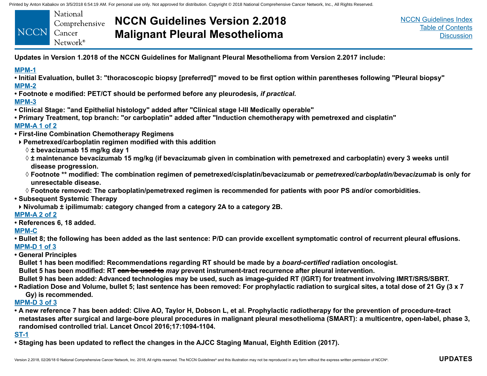

# **NCCN Guidelines Version 2.2018 Malignant Pleural Mesothelioma**

[NCCN Guidelines Index](http://www.nccn.org/professionals/physician_gls/f_guidelines.asp) [Table of Contents](#page-2-0) **[Discussion](#page-16-0)** 

**Updates in Version 1.2018 of the NCCN Guidelines for Malignant Pleural Mesothelioma from Version 2.2017 include:**

#### **[MPM-1](#page-5-0)**

- **Initial Evaluation, bullet 3: "thoracoscopic biopsy [preferred]" moved to be first option within parentheses following "Pleural biopsy" [MPM-2](#page-6-0)**
- **Footnote e modified: PET/CT should be performed before any pleurodesis***, if practical***.**

#### **[MPM-3](#page-7-0)**

- **Clinical Stage: "and Epithelial histology" added after "Clinical stage I-III Medically operable"**
- **Primary Treatment, top branch: "or carboplatin" added after "Induction chemotherapy with pemetrexed and cisplatin" [MPM-A 1 of 2](#page-8-0)**
- **First-line Combination Chemotherapy Regimens**
- **Pemetrexed/carboplatin regimen modified with this addition**
	- ◊ **± bevacizumab 15 mg/kg day 1**
	- ◊ **± maintenance bevacizumab 15 mg/kg (if bevacizumab given in combination with pemetrexed and carboplatin) every 3 weeks until disease progression.**
	- ◊ **Footnote \*\* modified: The combination regimen of pemetrexed/cisplatin/bevacizumab or** *pemetrexed/carboplatin/bevacizumab* **is only for unresectable disease.**
	- ◊ **Footnote removed: The carboplatin/pemetrexed regimen is recommended for patients with poor PS and/or comorbidities.**
- **Subsequent Systemic Therapy**
- **Nivolumab ± ipilimumab: category changed from a category 2A to a category 2B.**

#### **[MPM-A 2 of 2](#page-9-0)**

**• References 6, 18 added.** 

#### **[MPM-C](#page-11-0)**

- **Bullet 8; the following has been added as the last sentence: P/D can provide excellent symptomatic control of recurrent pleural effusions. [MPM-D 1 of 3](#page-12-0)**
- **General Principles**

**Bullet 1 has been modified: Recommendations regarding RT should be made by a** *board-certified* **radiation oncologist.**

**Bullet 5 has been modified: RT can be used to** *may* **prevent instrument-tract recurrence after pleural intervention.**

**Bullet 9 has been added: Advanced technologies may be used, such as image-guided RT (IGRT) for treatment involving IMRT/SRS/SBRT.**

**• Radiation Dose and Volume, bullet 5; last sentence has been removed: For prophylactic radiation to surgical sites, a total dose of 21 Gy (3 x 7 Gy) is recommended.**

#### **[MPM-D 3 of 3](#page-14-0)**

**• A new reference 7 has been added: Clive AO, Taylor H, Dobson L, et al. Prophylactic radiotherapy for the prevention of procedure-tract metastases after surgical and large-bore pleural procedures in malignant pleural mesothelioma (SMART): a multicentre, open-label, phase 3, randomised controlled trial. Lancet Oncol 2016;17:1094-1104.**

#### **[ST-1](#page-15-0)**

**• Staging has been updated to reflect the changes in the AJCC Staging Manual, Eighth Edition (2017).**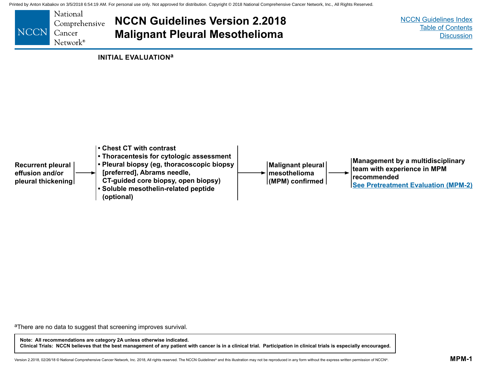<span id="page-5-0"></span>

[NCCN Guidelines Index](http://www.nccn.org/professionals/physician_gls/f_guidelines.asp) [Table of Contents](#page-2-0) **[Discussion](#page-16-0)** 

#### **INITIAL EVALUATION<sup>a</sup>**



aThere are no data to suggest that screening improves survival.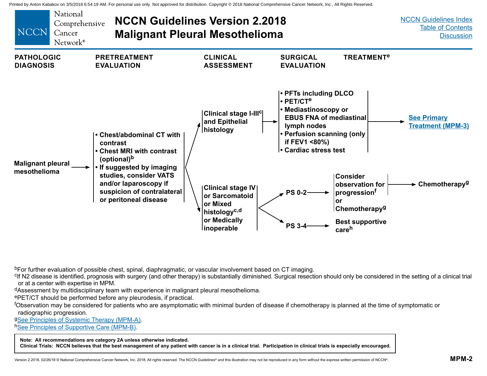<span id="page-6-0"></span>

bFor further evaluation of possible chest, spinal, diaphragmatic, or vascular involvement based on CT imaging.

<sup>c</sup>If N2 disease is identified, prognosis with surgery (and other therapy) is substantially diminished. Surgical resection should only be considered in the setting of a clinical trial or at a center with expertise in MPM.

dAssessment by multidisciplinary team with experience in malignant pleural mesothelioma.

ePET/CT should be performed before any pleurodesis, if practical.

f Observation may be considered for patients who are asymptomatic with minimal burden of disease if chemotherapy is planned at the time of symptomatic or radiographic progression.

9[See Principles of Systemic Therapy \(MPM-A\)](#page-8-0). h[See Principles of Supportive Care \(MPM-B\).](#page-10-0)

**Note: All recommendations are category 2A unless otherwise indicated.**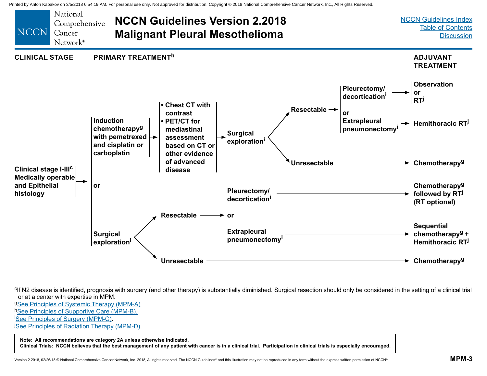<span id="page-7-0"></span>

<sup>c</sup>If N2 disease is identified, prognosis with surgery (and other therapy) is substantially diminished. Surgical resection should only be considered in the setting of a clinical trial or at a center with expertise in MPM. 9[See Principles of Systemic Therapy \(MPM-A\)](#page-8-0). h[See Principles of Supportive Care \(MPM-B\).](#page-10-0)

[See Principles of Surgery \(MPM-C\)](#page-11-0).

**[See Principles of Radiation Therapy \(MPM-D\)](#page-12-0).**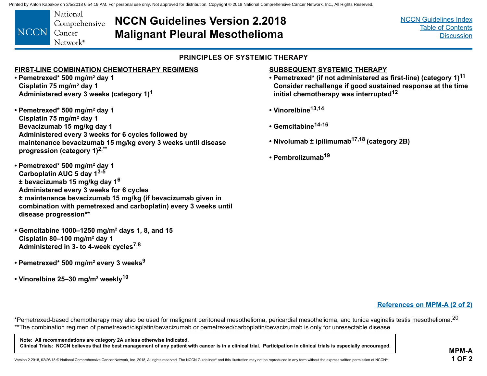<span id="page-8-0"></span>

# **NCCN Guidelines Version 2.2018 Malignant Pleural Mesothelioma**

[NCCN Guidelines Index](http://www.nccn.org/professionals/physician_gls/f_guidelines.asp) [Table of Contents](#page-2-0) **[Discussion](#page-16-0)** 

#### **PRINCIPLES OF SYSTEMIC THERAPY**

#### **FIRST-LINE COMBINATION CHEMOTHERAPY REGIMENS**

- **Pemetrexed\* 500 mg/m2 day 1 Cisplatin 75 mg/m2 day 1 Administered every 3 weeks (category 1)<sup>1</sup>**
- **Pemetrexed\* 500 mg/m2 day 1 Cisplatin 75 mg/m2 day 1 Bevacizumab 15 mg/kg day 1 Administered every 3 weeks for 6 cycles followed by maintenance bevacizumab 15 mg/kg every 3 weeks until disease progression (category 1)2,\*\***
- **Pemetrexed\* 500 mg/m2 day 1 Carboplatin AUC 5 day 13-5 ± bevacizumab 15 mg/kg day 16 Administered every 3 weeks for 6 cycles ± maintenance bevacizumab 15 mg/kg (if bevacizumab given in combination with pemetrexed and carboplatin) every 3 weeks until disease progression\*\***
- **Gemcitabine 1000–1250 mg/m2 days 1, 8, and 15 Cisplatin 80–100 mg/m2 day 1 Administered in 3- to 4-week cycles7,8**
- **Pemetrexed\* 500 mg/m2 every 3 weeks<sup>9</sup>**
- **Vinorelbine 25–30 mg/m2 weekly<sup>10</sup>**

#### **SUBSEQUENT SYSTEMIC THERAPY**

- **Pemetrexed\* (if not administered as first-line) (category 1)<sup>11</sup> Consider rechallenge if good sustained response at the time initial chemotherapy was interrupted12**
- **Vinorelbine13,14**
- **Gemcitabine14-16**
- **Nivolumab ± ipilimumab17,18 (category 2B)**
- **Pembrolizumab19**

#### **[References on MPM-A \(2 of 2\)](#page-9-0)**

\*Pemetrexed-based chemotherapy may also be used for malignant peritoneal mesothelioma, pericardial mesothelioma, and tunica vaginalis testis mesothelioma.<sup>20</sup> \*\*The combination regimen of pemetrexed/cisplatin/bevacizumab or pemetrexed/carboplatin/bevacizumab is only for unresectable disease.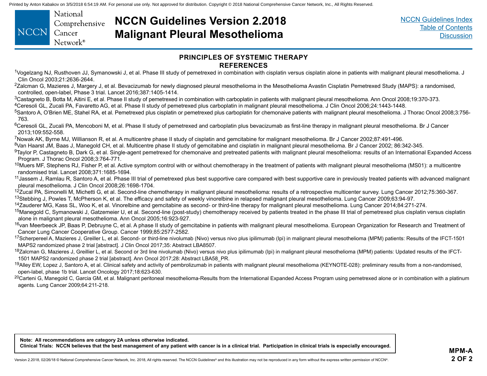<span id="page-9-0"></span>National Comprehensive **NCCN** Cancer Network<sup>®</sup>

# **NCCN Guidelines Version 2.2018 Malignant Pleural Mesothelioma**

#### **PRINCIPLES OF SYSTEMIC THERAPY REFERENCES**

<sup>1</sup>Vogelzang NJ, Rusthoven JJ, Symanowski J, et al. Phase III study of pemetrexed in combination with cisplatin versus cisplatin alone in patients with malignant pleural mesothelioma. J Clin Oncol 2003;21:2636-2644.

<sup>2</sup>Zalcman G, Mazieres J, Margery J, et al. Bevacizumab for newly diagnosed pleural mesothelioma in the Mesothelioma Avastin Cisplatin Pemetrexed Study (MAPS): a randomised, controlled, open-label, Phase 3 trial. Lancet 2016;387:1405-1414.

3Castagneto B, Botta M, Aitini E, et al. Phase II study of pemetrexed in combination with carboplatin in patients with malignant pleural mesothelioma. Ann Oncol 2008;19:370-373.

4Ceresoli GL, Zucali PA, Favaretto AG, et al. Phase II study of pemetrexed plus carboplatin in malignant pleural mesothelioma. J Clin Oncol 2006;24:1443-1448.

<sup>5</sup>Santoro A, O'Brien ME, Stahel RA, et al. Pemetrexed plus cisplatin or pemetrexed plus carboplatin for chemonaive patients with malignant pleural mesothelioma. J Thorac Oncol 2008;3:756-763.

6Ceresoli GL, Zucali PA, Mencoboni M, et al. Phase II study of pemetrexed and carboplatin plus bevacizumab as first-line therapy in malignant pleural mesothelioma. Br J Cancer 2013;109:552-558.

<sup>7</sup>Nowak AK, Byrne MJ, Willianson R, et al. A multicentre phase II study of cisplatin and gemcitabine for malignant mesothelioma. Br J Cancer 2002;87:491-496.

8Van Haarst JM, Baas J, Manegold CH, et al. Multicentre phase II study of gemcitabine and cisplatin in malignant pleural mesothelioma. Br J Cancer 2002; 86:342-345.

 $9$ Taylor P. Castagneto B. Dark G. et al. Single-agent pemetrexed for chemonaive and pretreated patients with malignant pleural mesothelioma: results of an International Expanded Access Program. J Thorac Oncol 2008;3:764-771.

<sup>10</sup>Muers MF, Stephens RJ, Fisher P, et al. Active symptom control with or without chemotherapy in the treatment of patients with malignant pleural mesothelioma (MS01): a multicentre randomised trial. Lancet 2008;371:1685-1694.

<sup>11</sup>Jassem J, Ramlau R, Santoro A, et al. Phase III trial of pemetrexed plus best supportive care compared with best supportive care in previously treated patients with advanced malignant pleural mesothelioma. J Clin Oncol 2008;26:1698-1704.

<sup>12</sup>Zucal PA, Simonelli M, Michetti G, et al. Second-line chemotherapy in malignant pleural mesothelioma: results of a retrospective multicenter survey. Lung Cancer 2012;75:360-367.

<sup>13</sup>Stebbing J, Powles T, McPherson K, et al. The efficacy and safety of weekly vinorelbine in relapsed malignant pleural mesothelioma. Lung Cancer 2009;63:94-97.

<sup>14</sup>Zauderer MG, Kass SL, Woo K, et al. Vinorelbine and gemcitabine as second- or third-line therapy for malignant pleural mesothelioma. Lung Cancer 2014;84:271-274.

<sup>15</sup>Manegold C, Symanowski J, Gatzemeier U, et al. Second-line (post-study) chemotherapy received by patients treated in the phase III trial of pemetrexed plus cisplatin versus cisplatin alone in malignant pleural mesothelioma. Ann Oncol 2005;16:923-927.

<sup>16</sup>van Meerbeeck JP, Baas P, Debruyne C, et al. A phase II study of gemcitabine in patients with malignant pleural mesothelioma. European Organization for Research and Treatment of Cancer Lung Cancer Cooperative Group. Cancer 1999;85:2577-2582.

<sup>17</sup>Scherpereel A, Mazieres J, Greiller L, et al. Second- or third-line nivolumab (Nivo) versus nivo plus ipilimumab (Ipi) in malignant pleural mesothelioma (MPM) patients: Results of the IFCT-1501 MAPS2 randomized phase 2 trial [abstract]. J Clin Oncol 2017;35: Abstract LBA8507.

<sup>18</sup>Zalcman G, Mazieres J, Greillier L, et al. Second or 3rd line nivolumab (Nivo) versus nivo plus ipilimumab (Ipi) in malignant pleural mesothelioma (MPM) patients: Updated results of the IFCT-1501 MAPS2 randomized phase 2 trial [abstract]. Ann Oncol 2017;28: Abstract LBA58\_PR.

<sup>19</sup>Alley EW, Lopez J, Santoro A, et al. Clinical safety and activity of pembrolizumab in patients with malignant pleural mesothelioma (KEYNOTE-028): preliminary results from a non-randomised, open-label, phase 1b trial. Lancet Oncology 2017;18:623-630.

 $^{20}$ Carteni G, Manegold C, Garcia GM, et al. Malignant peritoneal mesothelioma-Results from the International Expanded Access Program using pemetrexed alone or in combination with a platinum agents. Lung Cancer 2009;64:211-218.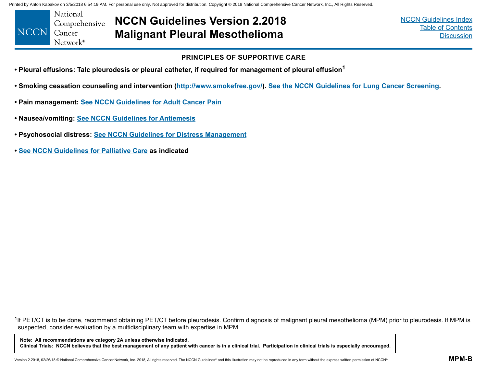<span id="page-10-0"></span>

**NCCN Guidelines Version 2.2018 Malignant Pleural Mesothelioma**

[NCCN Guidelines Index](http://www.nccn.org/professionals/physician_gls/f_guidelines.asp) [Table of Contents](#page-2-0) **[Discussion](#page-16-0)** 

#### **PRINCIPLES OF SUPPORTIVE CARE**

- **Pleural effusions: Talc pleurodesis or pleural catheter, if required for management of pleural effusion<sup>1</sup>**
- **Smoking cessation counseling and intervention [\(http://www.smokefree.gov/\)](http://www.smokefree.gov/). [See the NCCN Guidelines for Lung Cancer Screening.](http://www.nccn.org/professionals/physician_gls/pdf/lung_screening.pdf)**
- **Pain management: [See NCCN Guidelines for Adult Cancer Pain](http://www.nccn.org/professionals/physician_gls/pdf/pain.pdf)**
- **Nausea/vomiting: [See NCCN Guidelines for Antiemesis](http://www.nccn.org/professionals/physician_gls/pdf/antiemesis.pdf)**
- **Psychosocial distress: [See NCCN Guidelines for Distress Management](http://www.nccn.org/professionals/physician_gls/pdf/distress.pdf)**
- **• [See NCCN Guidelines for Palliative Care](http://www.nccn.org/professionals/physician_gls/pdf/palliative.pdf) as indicated**

1If PET/CT is to be done, recommend obtaining PET/CT before pleurodesis. Confirm diagnosis of malignant pleural mesothelioma (MPM) prior to pleurodesis. If MPM is suspected, consider evaluation by a multidisciplinary team with expertise in MPM.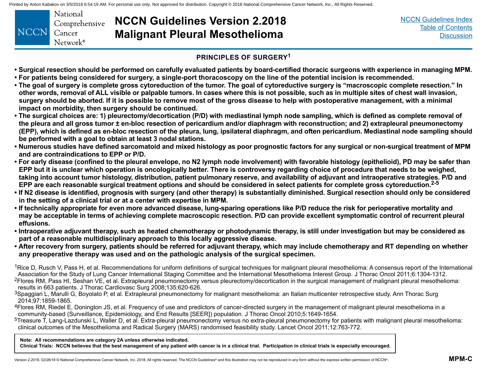<span id="page-11-0"></span>National Comprehensive **NCCN** Cancer Network<sup>®</sup>

**NCCN Guidelines Version 2.2018 Malignant Pleural Mesothelioma**

[NCCN Guidelines Index](http://www.nccn.org/professionals/physician_gls/f_guidelines.asp) [Table of Contents](#page-2-0) **[Discussion](#page-16-0)** 

#### **PRINCIPLES OF SURGERY<sup>1</sup>**

- **Surgical resection should be performed on carefully evaluated patients by board-certified thoracic surgeons with experience in managing MPM.**
- **For patients being considered for surgery, a single-port thoracoscopy on the line of the potential incision is recommended.**
- **The goal of surgery is complete gross cytoreduction of the tumor. The goal of cytoreductive surgery is "macroscopic complete resection." In other words, removal of ALL visible or palpable tumors. In cases where this is not possible, such as in multiple sites of chest wall invasion, surgery should be aborted. If it is possible to remove most of the gross disease to help with postoperative management, with a minimal impact on morbidity, then surgery should be continued.**
- **The surgical choices are: 1) pleurectomy/decortication (P/D) with mediastinal lymph node sampling, which is defined as complete removal of the pleura and all gross tumor ± en-bloc resection of pericardium and/or diaphragm with reconstruction; and 2) extrapleural pneumonectomy (EPP), which is defined as en-bloc resection of the pleura, lung, ipsilateral diaphragm, and often pericardium. Mediastinal node sampling should be performed with a goal to obtain at least 3 nodal stations.**
- **Numerous studies have defined sarcomatoid and mixed histology as poor prognostic factors for any surgical or non-surgical treatment of MPM and are contraindications to EPP or P/D.**
- **For early disease (confined to the pleural envelope, no N2 lymph node involvement) with favorable histology (epithelioid), PD may be safer than EPP but it is unclear which operation is oncologically better. There is controversy regarding choice of procedure that needs to be weighed, taking into account tumor histology, distribution, patient pulmonary reserve, and availability of adjuvant and intraoperative strategies. P/D and EPP are each reasonable surgical treatment options and should be considered in select patients for complete gross cytoreduction.2-5**
- **If N2 disease is identified, prognosis with surgery (and other therapy) is substantially diminished. Surgical resection should only be considered in the setting of a clinical trial or at a center with expertise in MPM.**
- **If technically appropriate for even more advanced disease, lung-sparing operations like P/D reduce the risk for perioperative mortality and may be acceptable in terms of achieving complete macroscopic resection. P/D can provide excellent symptomatic control of recurrent pleural effusions.**
- **Intraoperative adjuvant therapy, such as heated chemotherapy or photodynamic therapy, is still under investigation but may be considered as part of a reasonable multidisciplinary approach to this locally aggressive disease.**
- **After recovery from surgery, patients should be referred for adjuvant therapy, which may include chemotherapy and RT depending on whether any preoperative therapy was used and on the pathologic analysis of the surgical specimen.**

<sup>1</sup>Rice D. Rusch V. Pass H. et al. Recommendations for uniform definitions of surgical techniques for malignant pleural mesothelioma: A consensus report of the International Association for the Study of Lung Cancer International Staging Committee and the International Mesothelioma Interest Group. J Thorac Oncol 2011;6:1304-1312. 2Flores RM, Pass HI, Seshan VE, et al. Extrapleural pneumonectomy versus pleurectomy/decortication in the surgical management of malignant pleural mesothelioma: results in 663 patients. J Thorac Cardiovasc Surg 2008;135:620-626.

<sup>3</sup>Spaggiari L, Marulli G, Boyolato P, et al. Extrapleural pneumonectomy for malignant mesothelioma: an Italian multicenter retrospective study. Ann Thorac Surg 2014;97:1859-1865.

4Flores RM, Riedel E, Donington JS, et al. Frequency of use and predictors of cancer-directed surgery in the management of malignant pleural mesothelioma in a community-based (Surveillance, Epidemiology, and End Results [SEER]) population. J Thorac Oncol 2010;5:1649-1654.

<sup>5</sup>Treasure T, Lang-Lazdunski L, Waller D, et al. Extra-pleural pneumonectomy versus no extra-pleural pneumonectomy for patients with malignant pleural mesothelioma: clinical outcomes of the Mesothelioma and Radical Surgery (MARS) randomised feasibility study. Lancet Oncol 2011;12:763-772.

**Note: All recommendations are category 2A unless otherwise indicated.**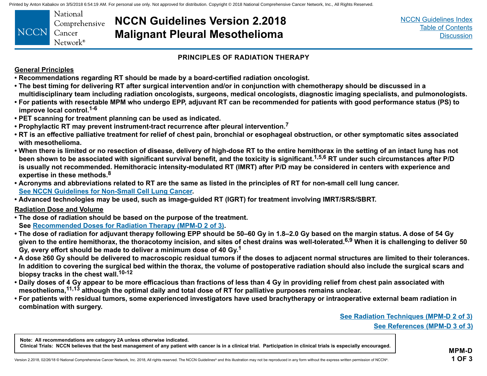<span id="page-12-0"></span>National Comprehensive **NCCN** Cancer Network<sup>®</sup>

**NCCN Guidelines Version 2.2018 Malignant Pleural Mesothelioma**

[NCCN Guidelines Index](http://www.nccn.org/professionals/physician_gls/f_guidelines.asp) [Table of Contents](#page-2-0) **[Discussion](#page-16-0)** 

#### **PRINCIPLES OF RADIATION THERAPY**

#### **General Principles**

- **Recommendations regarding RT should be made by a board-certified radiation oncologist.**
- **The best timing for delivering RT after surgical intervention and/or in conjunction with chemotherapy should be discussed in a multidisciplinary team including radiation oncologists, surgeons, medical oncologists, diagnostic imaging specialists, and pulmonologists.**
- **For patients with resectable MPM who undergo EPP, adjuvant RT can be recommended for patients with good performance status (PS) to improve local control.1-6**
- **PET scanning for treatment planning can be used as indicated.**
- **Prophylactic RT may prevent instrument-tract recurrence after pleural intervention.<sup>7</sup>**
- **RT is an effective palliative treatment for relief of chest pain, bronchial or esophageal obstruction, or other symptomatic sites associated with mesothelioma.**
- **When there is limited or no resection of disease, delivery of high-dose RT to the entire hemithorax in the setting of an intact lung has not been shown to be associated with significant survival benefit, and the toxicity is significant.1,5,6 RT under such circumstances after P/D is usually not recommended. Hemithoracic intensity-modulated RT (IMRT) after P/D may be considered in centers with experience and expertise in these methods.8**
- **Acronyms and abbreviations related to RT are the same as listed in the principles of RT for non-small cell lung cancer. [See NCCN Guidelines for Non-Small Cell Lung Cancer.](http://www.nccn.org/professionals/physician_gls/pdf/nscl.pdf)**
- **Advanced technologies may be used, such as image-guided RT (IGRT) for treatment involving IMRT/SRS/SBRT.**

#### **Radiation Dose and Volume**

- **The dose of radiation should be based on the purpose of the treatment. See [Recommended Doses for Radiation Therapy \(MPM-D 2 of 3\)](#page-13-0).**
- **The dose of radiation for adjuvant therapy following EPP should be 50–60 Gy in 1.8–2.0 Gy based on the margin status. A dose of 54 Gy given to the entire hemithorax, the thoracotomy incision, and sites of chest drains was well-tolerated.6,9 When it is challenging to deliver 50 Gy, every effort should be made to deliver a minimum dose of 40 Gy.<sup>1</sup>**
- **A dose ≥60 Gy should be delivered to macroscopic residual tumors if the doses to adjacent normal structures are limited to their tolerances. In addition to covering the surgical bed within the thorax, the volume of postoperative radiation should also include the surgical scars and biopsy tracks in the chest wall.10-12**
- **Daily doses of 4 Gy appear to be more efficacious than fractions of less than 4 Gy in providing relief from chest pain associated with mesothelioma,11,13 although the optimal daily and total dose of RT for palliative purposes remains unclear.**
- **For patients with residual tumors, some experienced investigators have used brachytherapy or intraoperative external beam radiation in combination with surgery.**

**[See Radiation Techniques \(MPM-D 2 of 3\)](#page-13-0)**

#### **[See References \(MPM-D 3 of 3\)](#page-14-0)**

**Note: All recommendations are category 2A unless otherwise indicated.**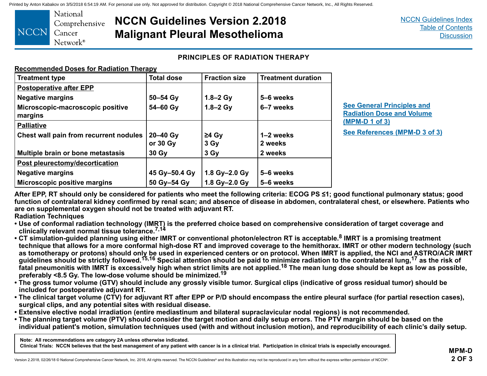<span id="page-13-0"></span>

# **NCCN Guidelines Version 2.2018 Malignant Pleural Mesothelioma**

[NCCN Guidelines Index](http://www.nccn.org/professionals/physician_gls/f_guidelines.asp) [Table of Contents](#page-2-0) **[Discussion](#page-16-0)** 

#### **PRINCIPLES OF RADIATION THERAPY**

| <b>Recommended Doses for Radiation Therapy</b> |  |  |
|------------------------------------------------|--|--|
|                                                |  |  |

| <b>Treatment type</b>                       | <b>Total dose</b>          | <b>Fraction size</b> | <b>Treatment duration</b> |                                                    |
|---------------------------------------------|----------------------------|----------------------|---------------------------|----------------------------------------------------|
| <b>Postoperative after EPP</b>              |                            |                      |                           |                                                    |
| <b>Negative margins</b>                     | $50-54$ Gy                 | $1.8 - 2 Gy$         | 5–6 weeks                 |                                                    |
| Microscopic-macroscopic positive<br>margins | 54-60 Gy                   | $1.8 - 2$ Gy         | 6–7 weeks                 | <b>See General Prin</b><br><b>Radiation Dose a</b> |
| <b>Palliative</b>                           |                            |                      |                           | $(MPM-D 1 of 3)$                                   |
| Chest wall pain from recurrent nodules      | $20 - 40$ Gy<br>or $30$ Gy | $\geq$ 4 Gy<br>3 Gy  | 1-2 weeks<br>2 weeks      | <b>See References</b>                              |
| Multiple brain or bone metastasis           | 30 Gy                      | 3 Gy                 | 2 weeks                   |                                                    |
| Post pleurectomy/decortication              |                            |                      |                           |                                                    |
| <b>Negative margins</b>                     | 45 Gy-50.4 Gy              | 1.8 Gy-2.0 Gy        | 5–6 weeks                 |                                                    |
| Microscopic positive margins                | 50 Gy-54 Gy                | 1.8 Gy-2.0 Gy        | 5-6 weeks                 |                                                    |

**See Sepand Rand Volume [See References \(MPM-D 3 of 3\)](#page-14-0)**

**After EPP, RT should only be considered for patients who meet the following criteria: ECOG PS ≤1; good functional pulmonary status; good function of contralateral kidney confirmed by renal scan; and absence of disease in abdomen, contralateral chest, or elsewhere. Patients who are on supplemental oxygen should not be treated with adjuvant RT.**

**Radiation Techniques**

- **Use of conformal radiation technology (IMRT) is the preferred choice based on comprehensive consideration of target coverage and clinically relevant normal tissue tolerance.7,14**
- **CT simulation-guided planning using either IMRT or conventional photon/electron RT is acceptable.8 IMRT is a promising treatment technique that allows for a more conformal high-dose RT and improved coverage to the hemithorax. IMRT or other modern technology (such**  as tomotherapy or protons) should only be used in experienced centers or on protocol. When IMRT is applied, the NCI and ASTRO/ACR IMRT **guidelines should be strictly followed.15,16 Special attention should be paid to minimize radiation to the contralateral lung,17 as the risk of fatal pneumonitis with IMRT is excessively high when strict limits are not applied.18 The mean lung dose should be kept as low as possible, preferably <8.5 Gy. The low-dose volume should be minimized.19**
- **The gross tumor volume (GTV) should include any grossly visible tumor. Surgical clips (indicative of gross residual tumor) should be included for postoperative adjuvant RT.**
- **The clinical target volume (CTV) for adjuvant RT after EPP or P/D should encompass the entire pleural surface (for partial resection cases), surgical clips, and any potential sites with residual disease.**
- **Extensive elective nodal irradiation (entire mediastinum and bilateral supraclavicular nodal regions) is not recommended.**
- **The planning target volume (PTV) should consider the target motion and daily setup errors. The PTV margin should be based on the individual patient's motion, simulation techniques used (with and without inclusion motion), and reproducibility of each clinic's daily setup.**

**Note: All recommendations are category 2A unless otherwise indicated.**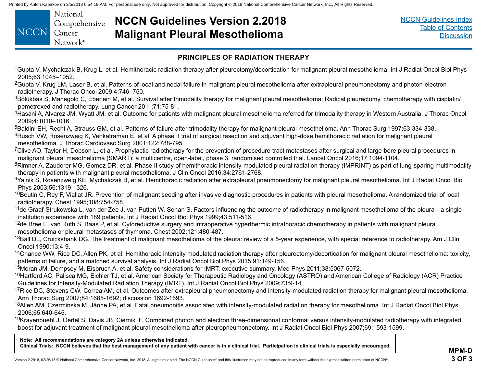<span id="page-14-0"></span>National Comprehensive **NCCN** Cancer Network<sup>®</sup>

# **NCCN Guidelines Version 2.2018 Malignant Pleural Mesothelioma**

#### **PRINCIPLES OF RADIATION THERAPY**

- <sup>1</sup>Gupta V, Mychalczak B, Krug L, et al. Hemithoracic radiation therapy after pleurectomy/decortication for malignant pleural mesothelioma. Int J Radiat Oncol Biol Phys 2005;63:1045–1052.
- <sup>2</sup>Gupta V, Krug LM, Laser B, et al. Patterns of local and nodal failure in malignant pleural mesothelioma after extrapleural pneumonectomy and photon-electron radiotherapy. J Thorac Oncol 2009;4:746–750.
- $3B$ ölükbas S, Manegold C, Eberlein M, et al. Survival after trimodality therapy for malignant pleural mesothelioma: Radical pleurectomy, chemotherapy with cisplatin/ pemetrexed and radiotherapy. Lung Cancer 2011;71:75-81.
- <sup>4</sup>Hasani A, Alvarez JM, Wyatt JM, et al. Outcome for patients with malignant pleural mesothelioma referred for trimodality therapy in Western Australia. J Thorac Oncol 2009;4:1010–1016.
- 5Baldini EH, Recht A, Strauss GM, et al. Patterns of failure after trimodality therapy for malignant pleural mesothelioma. Ann Thorac Surg 1997;63:334-338.

<sup>6</sup>Rusch VW, Rosenzweig K, Venkatraman E, et al. A phase II trial of surgical resection and adjuvant high-dose hemithoracic radiation for malignant pleural mesothelioma. J Thorac Cardiovasc Surg 2001;122:788-795.

- <sup>7</sup>Clive AO, Taylor H, Dobson L, et al. Prophylactic radiotherapy for the prevention of procedure-tract metastases after surgical and large-bore pleural procedures in malignant pleural mesothelioma (SMART): a multicentre, open-label, phase 3, randomised controlled trial. Lancet Oncol 2016;17:1094-1104.
- <sup>8</sup>Rimner A, Zauderer MG, Gomez DR, et al. Phase II study of hemithoracic intensity-modulated pleural radiation therapy (IMPRINT) as part of lung-sparing multimodality therapy in patients with malignant pleural mesothelioma. J Clin Oncol 2016;34:2761-2768.
- 9Yajnik S, Rosenzweig KE, Mychalczak B, et al. Hemithoracic radiation after extrapleural pneumonectomy for malignant pleural mesothelioma. Int J Radiat Oncol Biol Phys 2003;56:1319-1326.
- <sup>10</sup>Boutin C, Rey F, Viallat JR. Prevention of malignant seeding after invasive diagnostic procedures in patients with pleural mesothelioma. A randomized trial of local radiotherapy. Chest 1995;108:754-758.
- <sup>11</sup>de Graaf-Strukowska L, van der Zee J, van Putten W, Senan S. Factors influencing the outcome of radiotherapy in malignant mesothelioma of the pleura—a singleinstitution experience with 189 patients. Int J Radiat Oncol Biol Phys 1999;43:511-516.
- $12$ de Bree E, van Ruth S, Baas P, et al. Cytoreductive surgery and intraoperative hyperthermic intrathoracic chemotherapy in patients with malignant pleural mesothelioma or pleural metastases of thymoma. Chest 2002;121:480-487.
- <sup>13</sup>Ball DL, Cruickshank DG. The treatment of malignant mesothelioma of the pleura: review of a 5-year experience, with special reference to radiotherapy. Am J Clin Oncol 1990;13:4-9.
- <sup>14</sup>Chance WW, Rice DC, Allen PK, et al. Hemithoracic intensity modulated radiation therapy after pleurectomy/decortication for malignant pleural mesothelioma: toxicity, patterns of failure, and a matched survival analysis. Int J Radiat Oncol Biol Phys 2015;91:149-156.
- <sup>15</sup>Moran JM, Dempsey M, Eisbruch A, et al. Safety considerations for IMRT: executive summary. Med Phys 2011;38:5067-5072.
- <sup>16</sup>Hartford AC, Palisca MG, Eichler TJ, et al. American Society for Therapeutic Radiology and Oncology (ASTRO) and American College of Radiology (ACR) Practice Guidelines for Intensity-Modulated Radiation Therapy (IMRT). Int J Radiat Oncol Biol Phys 2009;73:9-14.
- <sup>17</sup>Rice DC, Stevens CW, Correa AM, et al. Outcomes after extrapleural pneumonectomy and intensity-modulated radiation therapy for malignant pleural mesothelioma. Ann Thorac Surg 2007;84:1685-1692; discussion 1692-1693.
- 18Allen AM, Czerminska M, Jänne PA, et al. Fatal pneumonitis associated with intensity-modulated radiation therapy for mesothelioma. Int J Radiat Oncol Biol Phys 2006;65:640-645.
- <sup>19</sup>Krayenbuehl J, Oertel S, Davis JB, Ciernik IF. Combined photon and electron three-dimensional conformal versus intensity-modulated radiotherapy with integrated boost for adjuvant treatment of malignant pleural mesothelioma after pleuropneumonectomy. Int J Radiat Oncol Biol Phys 2007;69:1593-1599.

**Note: All recommendations are category 2A unless otherwise indicated.**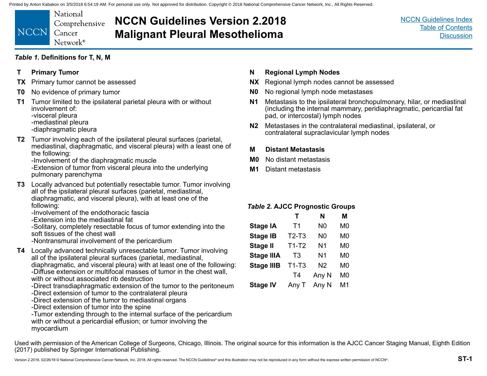<span id="page-15-0"></span>

# **NCCN Guidelines Version 2.2018 Malignant Pleural Mesothelioma**

[NCCN Guidelines Index](http://www.nccn.org/professionals/physician_gls/f_guidelines.asp) [Table of Contents](#page-2-0) **[Discussion](#page-16-0)** 

#### *Table 1.* **Definitions for T, N, M**

- **T Primary Tumor**
- **TX** Primary tumor cannot be assessed
- **T0** No evidence of primary tumor
- **T1** Tumor limited to the ipsilateral parietal pleura with or without involvement of: -visceral pleura -mediastinal pleura -diaphragmatic pleura
- **T2** Tumor involving each of the ipsilateral pleural surfaces (parietal, mediastinal, diaphragmatic, and visceral pleura) with a least one of the following:

-Involvement of the diaphragmatic muscle

-Extension of tumor from visceral pleura into the underlying pulmonary parenchyma

- **T3** Locally advanced but potentially resectable tumor. Tumor involving all of the ipsilateral pleural surfaces (parietal, mediastinal, diaphragmatic, and visceral pleura), with at least one of the following:
	- -Involvement of the endothoracic fascia
	- -Extension into the mediastinal fat

-Solitary, completely resectable focus of tumor extending into the soft tissues of the chest wall

-Nontransmural involvement of the pericardium

- **T4** Locally advanced technically unresectable tumor. Tumor involving all of the ipsilateral pleural surfaces (parietal, mediastinal, diaphragmatic, and visceral pleura) with at least one of the following: -Diffuse extension or multifocal masses of tumor in the chest wall, with or without associated rib destruction -Direct transdiaphragmatic extension of the tumor to the peritoneum
	- -Direct extension of tumor to the contralateral pleura
	- -Direct extension of the tumor to mediastinal organs
	- -Direct extension of tumor into the spine
	- -Tumor extending through to the internal surface of the pericardium

with or without a pericardial effusion; or tumor involving the myocardium

#### **N Regional Lymph Nodes**

- **NX** Regional lymph nodes cannot be assessed
- **N0** No regional lymph node metastases
- **N1** Metastasis to the ipsilateral bronchopulmonary, hilar, or mediastinal (including the internal mammary, peridiaphragmatic, pericardial fat pad, or intercostal) lymph nodes
- **N2** Metastases in the contralateral mediastinal, ipsilateral, or contralateral supraclavicular lymph nodes

#### **M Distant Metastasis**

- **M0** No distant metastasis
- **M1** Distant metastasis

#### *Table 2.* **AJCC Prognostic Groups**

|                   | т              | N              | М              |
|-------------------|----------------|----------------|----------------|
| <b>Stage IA</b>   | T <sub>1</sub> | N <sub>0</sub> | M <sub>0</sub> |
| <b>Stage IB</b>   | $T2-T3$        | N <sub>0</sub> | M <sub>0</sub> |
| <b>Stage II</b>   | $T1-T2$        | N1             | M <sub>0</sub> |
| <b>Stage IIIA</b> | T3             | N1             | M <sub>0</sub> |
| <b>Stage IIIB</b> | $T1-T3$        | N <sub>2</sub> | M <sub>0</sub> |
|                   | T4             | Any N          | M <sub>0</sub> |
| <b>Stage IV</b>   | Any T          | Any N          | M1             |

Used with permission of the American College of Surgeons, Chicago, Illinois. The original source for this information is the AJCC Cancer Staging Manual, Eighth Edition (2017) published by Springer International Publishing.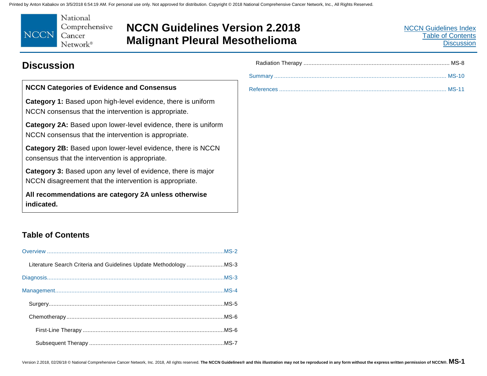<span id="page-16-0"></span>

# **NCCN Guidelines Version 2.2018 Malignant Pleural Mesothelioma**

### **Discussion**

#### **NCCN Categories of Evidence and Consensus**

**Category 1:** Based upon high-level evidence, there is uniform NCCN consensus that the intervention is appropriate.

**Category 2A:** Based upon lower-level evidence, there is uniform NCCN consensus that the intervention is appropriate.

**Category 2B:** Based upon lower-level evidence, there is NCCN consensus that the intervention is appropriate.

**Category 3:** Based upon any level of evidence, there is major NCCN disagreement that the intervention is appropriate.

**All recommendations are category 2A unless otherwise indicated.**

#### **Table of Contents**

| Literature Search Criteria and Guidelines Update Methodology MS-3 |  |
|-------------------------------------------------------------------|--|
|                                                                   |  |
|                                                                   |  |
|                                                                   |  |
|                                                                   |  |
|                                                                   |  |
|                                                                   |  |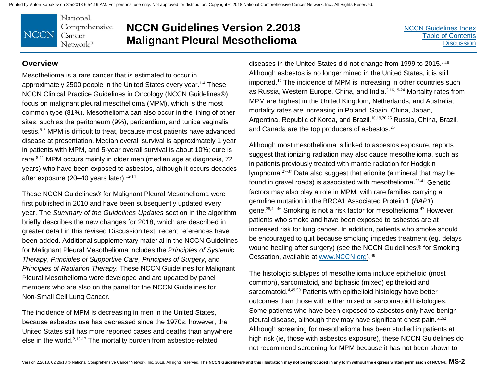National Comprehensive **NCCN** Cancer Network<sup>®</sup>

# **NCCN Guidelines Version 2.2018 Malignant Pleural Mesothelioma**

[NCCN Guidelines Index](http://www.nccn.org/professionals/physician_gls/f_guidelines.asp) [Table of Contents](#page-2-0) **[Discussion](#page-16-0)** 

#### **Overview**

Mesothelioma is a rare cancer that is estimated to occur in approximately 2500 people in the United States every year.<sup>14</sup> These NCCN Clinical Practice Guidelines in Oncology (NCCN Guidelines®) focus on malignant pleural mesothelioma (MPM), which is the most common type (81%). Mesothelioma can also occur in the lining of other sites, such as the peritoneum (9%), pericardium, and tunica vaginalis testis.5-7 MPM is difficult to treat, because most patients have advanced disease at presentation. Median overall survival is approximately 1 year in patients with MPM, and 5-year overall survival is about 10%; cure is rare.<sup>8-11</sup> MPM occurs mainly in older men (median age at diagnosis, 72 years) who have been exposed to asbestos, although it occurs decades after exposure (20–40 years later).<sup>12-14</sup>

These NCCN Guidelines® for Malignant Pleural Mesothelioma were first published in 2010 and have been subsequently updated every year. The *Summary of the Guidelines Updates* section in the algorithm briefly describes the new changes for 2018, which are described in greater detail in this revised Discussion text; recent references have been added. Additional supplementary material in the NCCN Guidelines for Malignant Pleural Mesothelioma includes the *Principles of Systemic Therapy*, *Principles of Supportive Care, Principles of Surgery*, and *Principles of Radiation Therapy.* These NCCN Guidelines for Malignant Pleural Mesothelioma were developed and are updated by panel members who are also on the panel for the NCCN Guidelines for Non-Small Cell Lung Cancer.

The incidence of MPM is decreasing in men in the United States, because asbestos use has decreased since the 1970s; however, the United States still has more reported cases and deaths than anywhere else in the world.<sup>2,15-17</sup> The mortality burden from asbestos-related

diseases in the United States did not change from 1999 to 2015.<sup>8,18</sup> Although asbestos is no longer mined in the United States, it is still imported.<sup>17</sup> The incidence of MPM is increasing in other countries such as Russia, Western Europe, China, and India.3,16,19-24 Mortality rates from MPM are highest in the United Kingdom, Netherlands, and Australia; mortality rates are increasing in Poland, Spain, China, Japan, Argentina, Republic of Korea, and Brazil.<sup>10,19,20,25</sup> Russia, China, Brazil, and Canada are the top producers of asbestos.<sup>26</sup>

Although most mesothelioma is linked to asbestos exposure, reports suggest that ionizing radiation may also cause mesothelioma, such as in patients previously treated with mantle radiation for Hodgkin lymphoma.27-37 Data also suggest that erionite (a mineral that may be found in gravel roads) is associated with mesothelioma.<sup>38-41</sup> Genetic factors may also play a role in MPM, with rare families carrying a germline mutation in the BRCA1 Associated Protein 1 (*BAP1*) gene.38,42-46 Smoking is not a risk factor for mesothelioma.<sup>47</sup> However, patients who smoke and have been exposed to asbestos are at increased risk for lung cancer. In addition, patients who smoke should be encouraged to quit because smoking impedes treatment (eg, delays wound healing after surgery) (see the NCCN Guidelines® for Smoking Cessation, available at www.NCCN.org).<sup>48</sup>

The histologic subtypes of mesothelioma include epithelioid (most common), sarcomatoid, and biphasic (mixed) epithelioid and sarcomatoid.<sup>4,49,50</sup> Patients with epithelioid histology have better outcomes than those with either mixed or sarcomatoid histologies. Some patients who have been exposed to asbestos only have benign pleural disease, although they may have significant chest pain.  $51,52$ Although screening for mesothelioma has been studied in patients at high risk (ie, those with asbestos exposure), these NCCN Guidelines do not recommend screening for MPM because it has not been shown to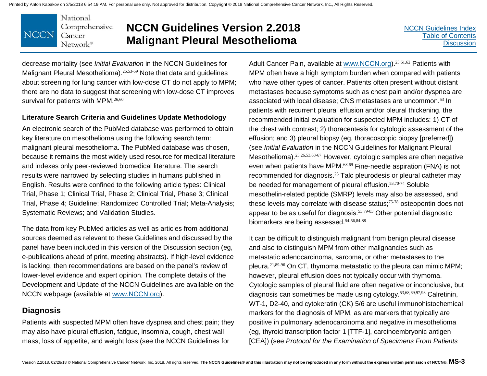

# **NCCN Guidelines Version 2.2018 Malignant Pleural Mesothelioma**

[NCCN Guidelines Index](http://www.nccn.org/professionals/physician_gls/f_guidelines.asp) [Table of Contents](#page-2-0) **[Discussion](#page-16-0)** 

decrease mortality (see *Initial Evaluation* in the NCCN Guidelines for Malignant Pleural Mesothelioma).26,53-59 Note that data and guidelines about screening for lung cancer with low-dose CT do not apply to MPM; there are no data to suggest that screening with low-dose CT improves survival for patients with MPM.<sup>26,60</sup>

#### **Literature Search Criteria and Guidelines Update Methodology**

An electronic search of the PubMed database was performed to obtain key literature on mesothelioma using the following search term: malignant pleural mesothelioma. The PubMed database was chosen, because it remains the most widely used resource for medical literature and indexes only peer-reviewed biomedical literature. The search results were narrowed by selecting studies in humans published in English. Results were confined to the following article types: Clinical Trial, Phase 1; Clinical Trial, Phase 2; Clinical Trial, Phase 3; Clinical Trial, Phase 4; Guideline; Randomized Controlled Trial; Meta-Analysis; Systematic Reviews; and Validation Studies.

The data from key PubMed articles as well as articles from additional sources deemed as relevant to these Guidelines and discussed by the panel have been included in this version of the Discussion section (eg, e-publications ahead of print, meeting abstracts). If high-level evidence is lacking, then recommendations are based on the panel's review of lower-level evidence and expert opinion. The complete details of the Development and Update of the NCCN Guidelines are available on the NCCN webpage (available at www.NCCN.org).

#### **Diagnosis**

Patients with suspected MPM often have dyspnea and chest pain; they may also have pleural effusion, fatigue, insomnia, cough, chest wall mass, loss of appetite, and weight loss (see the NCCN Guidelines for

Adult Cancer Pain, available at www.NCCN.org).<sup>25,61,62</sup> Patients with MPM often have a high symptom burden when compared with patients who have other types of cancer. Patients often present without distant metastases because symptoms such as chest pain and/or dyspnea are associated with local disease; CNS metastases are uncommon. <sup>53</sup> In patients with recurrent pleural effusion and/or pleural thickening, the recommended initial evaluation for suspected MPM includes: 1) CT of the chest with contrast; 2) thoracentesis for cytologic assessment of the effusion; and 3) pleural biopsy (eg, thoracoscopic biopsy [preferred]) (see *Initial Evaluation* in the NCCN Guidelines for Malignant Pleural Mesothelioma).25,26,53,63-67 However, cytologic samples are often negative even when patients have MPM.68,69 Fine-needle aspiration (FNA) is not recommended for diagnosis.<sup>25</sup> Talc pleurodesis or pleural catheter may be needed for management of pleural effusion.<sup>53,70-74</sup> Soluble mesothelin-related peptide (SMRP) levels may also be assessed, and these levels may correlate with disease status;75-78 osteopontin does not appear to be as useful for diagnosis.<sup>53,79-83</sup> Other potential diagnostic biomarkers are being assessed.<sup>54-56,84-88</sup>

It can be difficult to distinguish malignant from benign pleural disease and also to distinguish MPM from other malignancies such as metastatic adenocarcinoma, sarcoma, or other metastases to the pleura.21,89-96 On CT, thymoma metastatic to the pleura can mimic MPM; however, pleural effusion does not typically occur with thymoma. Cytologic samples of pleural fluid are often negative or inconclusive, but diagnosis can sometimes be made using cytology.<sup>53,68,69,97,98</sup> Calretinin, WT-1, D2-40, and cytokeratin (CK) 5/6 are useful immunohistochemical markers for the diagnosis of MPM, as are markers that typically are positive in pulmonary adenocarcinoma and negative in mesothelioma (eg, thyroid transcription factor 1 [TTF-1], carcinoembryonic antigen [CEA]) (see *Protocol for the Examination of Specimens From Patients*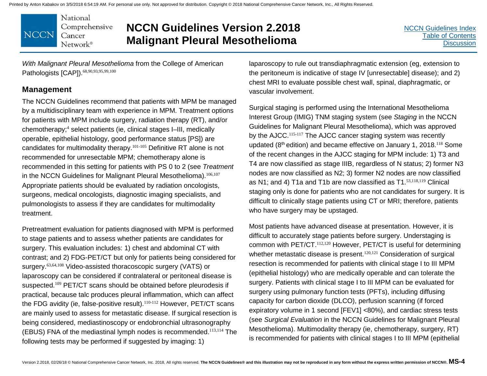National Comprehensive **NCCN** Cancer Network<sup>®</sup>

# **NCCN Guidelines Version 2.2018 Malignant Pleural Mesothelioma**

[NCCN Guidelines Index](http://www.nccn.org/professionals/physician_gls/f_guidelines.asp) [Table of Contents](#page-2-0) **[Discussion](#page-16-0)** 

*With Malignant Pleural Mesothelioma* from the College of American Pathologists [CAP]). 68,90,93,95,99,100

#### **Management**

The NCCN Guidelines recommend that patients with MPM be managed by a multidisciplinary team with experience in MPM. Treatment options for patients with MPM include surgery, radiation therapy (RT), and/or chemotherapy;<sup>4</sup> select patients (ie, clinical stages I–III, medically operable, epithelial histology, good performance status [PS]) are candidates for multimodality therapy.101-105 Definitive RT alone is not recommended for unresectable MPM; chemotherapy alone is recommended in this setting for patients with PS 0 to 2 (see *Treatment* in the NCCN Guidelines for Malignant Pleural Mesothelioma).<sup>106,107</sup> Appropriate patients should be evaluated by radiation oncologists, surgeons, medical oncologists, diagnostic imaging specialists, and pulmonologists to assess if they are candidates for multimodality treatment.

Pretreatment evaluation for patients diagnosed with MPM is performed to stage patients and to assess whether patients are candidates for surgery. This evaluation includes: 1) chest and abdominal CT with contrast; and 2) FDG-PET/CT but only for patients being considered for surgery.<sup>63,64,108</sup> Video-assisted thoracoscopic surgery (VATS) or laparoscopy can be considered if contralateral or peritoneal disease is suspected.<sup>109</sup> PET/CT scans should be obtained before pleurodesis if practical, because talc produces pleural inflammation, which can affect the FDG avidity (ie, false-positive result).<sup>110-112</sup> However, PET/CT scans are mainly used to assess for metastatic disease. If surgical resection is being considered, mediastinoscopy or endobronchial ultrasonography (EBUS) FNA of the mediastinal lymph nodes is recommended.<sup>113,114</sup> The following tests may be performed if suggested by imaging: 1)

laparoscopy to rule out transdiaphragmatic extension (eg, extension to the peritoneum is indicative of stage IV [unresectable] disease); and 2) chest MRI to evaluate possible chest wall, spinal, diaphragmatic, or vascular involvement.

Surgical staging is performed using the International Mesothelioma Interest Group (IMIG) TNM staging system (see *Staging* in the NCCN Guidelines for Malignant Pleural Mesothelioma), which was approved by the AJCC.<sup>115-117</sup> The AJCC cancer staging system was recently updated (8<sup>th</sup> edition) and became effective on January 1, 2018.<sup>118</sup> Some of the recent changes in the AJCC staging for MPM include: 1) T3 and T4 are now classified as stage IIIB, regardless of N status; 2) former N3 nodes are now classified as N2; 3) former N2 nodes are now classified as N1; and 4) T1a and T1b are now classified as T1.53,118,119 Clinical staging only is done for patients who are not candidates for surgery. It is difficult to clinically stage patients using CT or MRI; therefore, patients who have surgery may be upstaged.

Most patients have advanced disease at presentation. However, it is difficult to accurately stage patients before surgery. Understaging is common with PET/CT.<sup>112,120</sup> However, PET/CT is useful for determining whether metastatic disease is present.<sup>120,121</sup> Consideration of surgical resection is recommended for patients with clinical stage I to III MPM (epithelial histology) who are medically operable and can tolerate the surgery. Patients with clinical stage I to III MPM can be evaluated for surgery using pulmonary function tests (PFTs), including diffusing capacity for carbon dioxide (DLCO), perfusion scanning (if forced expiratory volume in 1 second [FEV1] <80%), and cardiac stress tests (see *Surgical Evaluation* in the NCCN Guidelines for Malignant Pleural Mesothelioma). Multimodality therapy (ie, chemotherapy, surgery, RT) is recommended for patients with clinical stages I to III MPM (epithelial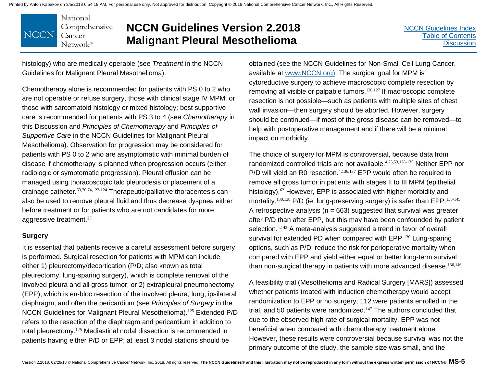National Comprehensive **NCCN** Cancer Network<sup>®</sup>

# **NCCN Guidelines Version 2.2018 Malignant Pleural Mesothelioma**

[NCCN Guidelines Index](http://www.nccn.org/professionals/physician_gls/f_guidelines.asp) [Table of Contents](#page-2-0) **[Discussion](#page-16-0)** 

histology) who are medically operable (see *Treatment* in the NCCN Guidelines for Malignant Pleural Mesothelioma).

Chemotherapy alone is recommended for patients with PS 0 to 2 who are not operable or refuse surgery, those with clinical stage IV MPM, or those with sarcomatoid histology or mixed histology; best supportive care is recommended for patients with PS 3 to 4 (see *Chemotherapy* in this Discussion and *Principles of Chemotherapy* and *Principles of Supportive Care* in the NCCN Guidelines for Malignant Pleural Mesothelioma). Observation for progression may be considered for patients with PS 0 to 2 who are asymptomatic with minimal burden of disease if chemotherapy is planned when progression occurs (either radiologic or symptomatic progression). Pleural effusion can be managed using thoracoscopic talc pleurodesis or placement of a drainage catheter.53,70,74,122-124 Therapeutic/palliative thoracentesis can also be used to remove pleural fluid and thus decrease dyspnea either before treatment or for patients who are not candidates for more aggressive treatment.<sup>25</sup>

#### **Surgery**

It is essential that patients receive a careful assessment before surgery is performed. Surgical resection for patients with MPM can include either 1) pleurectomy/decortication (P/D; also known as total pleurectomy, lung-sparing surgery), which is complete removal of the involved pleura and all gross tumor; or 2) extrapleural pneumonectomy (EPP), which is en-bloc resection of the involved pleura, lung, ipsilateral diaphragm, and often the pericardium (see *Principles of Surgery* in the NCCN Guidelines for Malignant Pleural Mesothelioma).<sup>125</sup> Extended P/D refers to the resection of the diaphragm and pericardium in addition to total pleurectomy.<sup>125</sup> Mediastinal nodal dissection is recommended in patients having either P/D or EPP; at least 3 nodal stations should be

obtained (see the NCCN Guidelines for Non-Small Cell Lung Cancer, available at www.NCCN.org). The surgical goal for MPM is cytoreductive surgery to achieve macroscopic complete resection by removing all visible or palpable tumors. 126,127 If macroscopic complete resection is not possible—such as patients with multiple sites of chest wall invasion—then surgery should be aborted. However, surgery should be continued—if most of the gross disease can be removed—to help with postoperative management and if there will be a minimal impact on morbidity.

The choice of surgery for MPM is controversial, because data from randomized controlled trials are not available.<sup>4,25,53,128-135</sup> Neither EPP nor P/D will yield an R0 resection.<sup>4,136,137</sup> EPP would often be required to remove all gross tumor in patients with stages II to III MPM (epithelial histology).<sup>62</sup> However, EPP is associated with higher morbidity and mortality.<sup>130,138</sup> P/D (ie, lung-preserving surgery) is safer than EPP.<sup>138-145</sup> A retrospective analysis ( $n = 663$ ) suggested that survival was greater after P/D than after EPP, but this may have been confounded by patient selection.<sup>4,143</sup> A meta-analysis suggested a trend in favor of overall survival for extended PD when compared with EPP.<sup>130</sup> Lung-sparing options, such as P/D, reduce the risk for perioperative mortality when compared with EPP and yield either equal or better long-term survival than non-surgical therapy in patients with more advanced disease.<sup>136,146</sup>

A feasibility trial (Mesothelioma and Radical Surgery [MARS]) assessed whether patients treated with induction chemotherapy would accept randomization to EPP or no surgery; 112 were patients enrolled in the trial, and 50 patients were randomized.<sup>147</sup> The authors concluded that due to the observed high rate of surgical mortality, EPP was not beneficial when compared with chemotherapy treatment alone. However, these results were controversial because survival was not the primary outcome of the study, the sample size was small, and the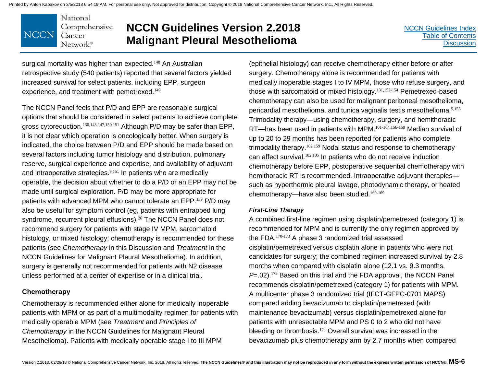

# **NCCN Guidelines Version 2.2018 Malignant Pleural Mesothelioma**

[NCCN Guidelines Index](http://www.nccn.org/professionals/physician_gls/f_guidelines.asp) [Table of Contents](#page-2-0) **[Discussion](#page-16-0)** 

surgical mortality was higher than expected.<sup>148</sup> An Australian retrospective study (540 patients) reported that several factors yielded increased survival for select patients, including EPP, surgeon experience, and treatment with pemetrexed.<sup>149</sup>

The NCCN Panel feels that P/D and EPP are reasonable surgical options that should be considered in select patients to achieve complete gross cytoreduction.<sup>130,143,147,150,151</sup> Although P/D may be safer than EPP, it is not clear which operation is oncologically better. When surgery is indicated, the choice between P/D and EPP should be made based on several factors including tumor histology and distribution, pulmonary reserve, surgical experience and expertise, and availability of adjuvant and intraoperative strategies.<sup>9,151</sup> In patients who are medically operable, the decision about whether to do a P/D or an EPP may not be made until surgical exploration. P/D may be more appropriate for patients with advanced MPM who cannot tolerate an EPP.<sup>139</sup> P/D may also be useful for symptom control (eg, patients with entrapped lung syndrome, recurrent pleural effusions).<sup>26</sup> The NCCN Panel does not recommend surgery for patients with stage IV MPM, sarcomatoid histology, or mixed histology; chemotherapy is recommended for these patients (see *Chemotherapy* in this Discussion and *Treatment* in the NCCN Guidelines for Malignant Pleural Mesothelioma). In addition, surgery is generally not recommended for patients with N2 disease unless performed at a center of expertise or in a clinical trial.

#### **Chemotherapy**

Chemotherapy is recommended either alone for medically inoperable patients with MPM or as part of a multimodality regimen for patients with medically operable MPM (see *Treatment* and *Principles of Chemotherapy* in the NCCN Guidelines for Malignant Pleural Mesothelioma). Patients with medically operable stage I to III MPM

(epithelial histology) can receive chemotherapy either before or after surgery. Chemotherapy alone is recommended for patients with medically inoperable stages I to IV MPM, those who refuse surgery, and those with sarcomatoid or mixed histology.131,152-154 Pemetrexed-based chemotherapy can also be used for malignant peritoneal mesothelioma, pericardial mesothelioma, and tunica vaginalis testis mesothelioma.5,155 Trimodality therapy—using chemotherapy, surgery, and hemithoracic RT—has been used in patients with MPM.101-104,156-159 Median survival of up to 20 to 29 months has been reported for patients who complete trimodality therapy.102,159 Nodal status and response to chemotherapy can affect survival.<sup>102,105</sup> In patients who do not receive induction chemotherapy before EPP, postoperative sequential chemotherapy with hemithoracic RT is recommended. Intraoperative adjuvant therapies such as hyperthermic pleural lavage, photodynamic therapy, or heated chemotherapy—have also been studied.<sup>160-169</sup>

#### *First-Line Therapy*

A combined first-line regimen using cisplatin/pemetrexed (category 1) is recommended for MPM and is currently the only regimen approved by the FDA. 170-173 A phase 3 randomized trial assessed cisplatin/pemetrexed versus cisplatin alone in patients who were not candidates for surgery; the combined regimen increased survival by 2.8 months when compared with cisplatin alone (12.1 vs. 9.3 months, *P*=.02).<sup>172</sup> Based on this trial and the FDA approval, the NCCN Panel recommends cisplatin/pemetrexed (category 1) for patients with MPM. A multicenter phase 3 randomized trial (IFCT-GFPC-0701 MAPS) compared adding bevacizumab to cisplatin/pemetrexed (with maintenance bevacizumab) versus cisplatin/pemetrexed alone for patients with unresectable MPM and PS 0 to 2 who did not have bleeding or thrombosis.<sup>174</sup> Overall survival was increased in the bevacizumab plus chemotherapy arm by 2.7 months when compared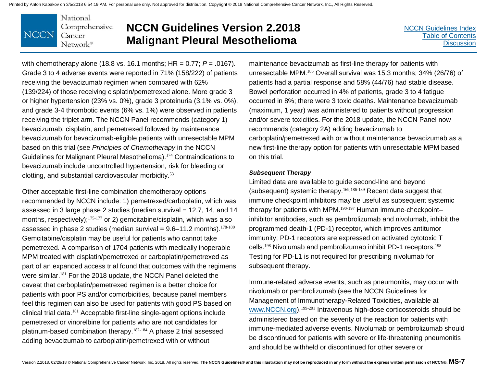

# **NCCN Guidelines Version 2.2018 Malignant Pleural Mesothelioma**

[NCCN Guidelines Index](http://www.nccn.org/professionals/physician_gls/f_guidelines.asp) [Table of Contents](#page-2-0) **[Discussion](#page-16-0)** 

with chemotherapy alone (18.8 vs. 16.1 months; HR = 0.77; *P* = .0167). Grade 3 to 4 adverse events were reported in 71% (158/222) of patients receiving the bevacizumab regimen when compared with 62% (139/224) of those receiving cisplatin/pemetrexed alone. More grade 3 or higher hypertension (23% vs. 0%), grade 3 proteinuria (3.1% vs. 0%), and grade 3-4 thrombotic events (6% vs. 1%) were observed in patients receiving the triplet arm. The NCCN Panel recommends (category 1) bevacizumab, cisplatin, and pemetrexed followed by maintenance bevacizumab for bevacizumab-eligible patients with unresectable MPM based on this trial (see *Principles of Chemotherapy* in the NCCN Guidelines for Malignant Pleural Mesothelioma).<sup>174</sup> Contraindications to bevacizumab include uncontrolled hypertension, risk for bleeding or clotting, and substantial cardiovascular morbidity.<sup>53</sup>

Other acceptable first-line combination chemotherapy options recommended by NCCN include: 1) pemetrexed/carboplatin, which was assessed in 3 large phase 2 studies (median survival = 12.7, 14, and 14 months, respectively); $175-177$  or 2) gemcitabine/cisplatin, which was also assessed in phase 2 studies (median survival  $= 9.6 - 11.2$  months).  $178 - 180$ Gemcitabine/cisplatin may be useful for patients who cannot take pemetrexed. A comparison of 1704 patients with medically inoperable MPM treated with cisplatin/pemetrexed or carboplatin/pemetrexed as part of an expanded access trial found that outcomes with the regimens were similar.<sup>181</sup> For the 2018 update, the NCCN Panel deleted the caveat that carboplatin/pemetrexed regimen is a better choice for patients with poor PS and/or comorbidities, because panel members feel this regimen can also be used for patients with good PS based on clinical trial data.<sup>181</sup> Acceptable first-line single-agent options include pemetrexed or vinorelbine for patients who are not candidates for platinum-based combination therapy. 182-184 A phase 2 trial assessed adding bevacizumab to carboplatin/pemetrexed with or without

maintenance bevacizumab as first-line therapy for patients with unresectable MPM.<sup>185</sup> Overall survival was 15.3 months; 34% (26/76) of patients had a partial response and 58% (44/76) had stable disease. Bowel perforation occurred in 4% of patients, grade 3 to 4 fatigue occurred in 8%; there were 3 toxic deaths. Maintenance bevacizumab (maximum, 1 year) was administered to patients without progression and/or severe toxicities. For the 2018 update, the NCCN Panel now recommends (category 2A) adding bevacizumab to carboplatin/pemetrexed with or without maintenance bevacizumab as a new first-line therapy option for patients with unresectable MPM based on this trial.

#### *Subsequent Therapy*

Limited data are available to guide second-line and beyond (subsequent) systemic therapy.<sup>169,186-189</sup> Recent data suggest that immune checkpoint inhibitors may be useful as subsequent systemic therapy for patients with MPM.<sup>190-197</sup> Human immune-checkpointinhibitor antibodies, such as pembrolizumab and nivolumab, inhibit the programmed death-1 (PD-1) receptor, which improves antitumor immunity; PD-1 receptors are expressed on activated cytotoxic T cells.<sup>198</sup> Nivolumab and pembrolizumab inhibit PD-1 receptors.<sup>198</sup> Testing for PD-L1 is not required for prescribing nivolumab for subsequent therapy.

Immune-related adverse events, such as pneumonitis, may occur with nivolumab or pembrolizumab (see the NCCN Guidelines for Management of Immunotherapy-Related Toxicities, available at www.NCCN.org).<sup>199-201</sup> Intravenous high-dose corticosteroids should be administered based on the severity of the reaction for patients with immune-mediated adverse events. Nivolumab or pembrolizumab should be discontinued for patients with severe or life-threatening pneumonitis and should be withheld or discontinued for other severe or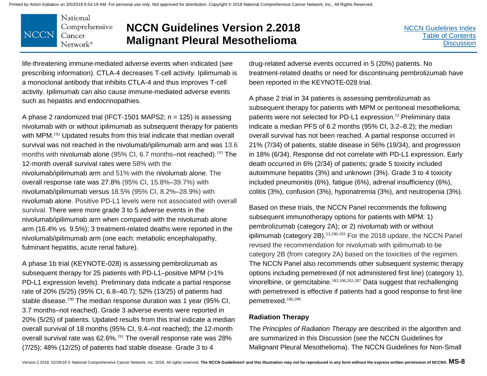

# **NCCN Guidelines Version 2.2018 Malignant Pleural Mesothelioma**

life-threatening immune-mediated adverse events when indicated (see prescribing information). CTLA-4 decreases T-cell activity. Ipilimumab is a monoclonal antibody that inhibits CTLA-4 and thus improves T-cell activity. Ipilimumab can also cause immune-mediated adverse events such as hepatitis and endocrinopathies.

A phase 2 randomized trial (IFCT-1501 MAPS2; n = 125) is assessing nivolumab with or without ipilimumab as subsequent therapy for patients with MPM.<sup>192</sup> Updated results from this trial indicate that median overall survival was not reached in the nivolumab/ipilimumab arm and was 13.6 months with nivolumab alone (95% CI, 6.7 months–not reached).<sup>193</sup> The 12-month overall survival rates were 58% with the nivolumab/ipilimumab arm and 51% with the nivolumab alone. The overall response rate was 27.8% (95% CI, 15.8%–39.7%) with nivolumab/ipilimumab versus 18.5% (95% CI, 8.2%–28.9%) with nivolumab alone. Positive PD-L1 levels were not associated with overall survival. There were more grade 3 to 5 adverse events in the nivolumab/ipilimumab arm when compared with the nivolumab alone arm (16.4% vs. 9.5%); 3 treatment-related deaths were reported in the nivolumab/ipilimumab arm (one each: metabolic encephalopathy, fulminant hepatitis, acute renal failure).

A phase 1b trial (KEYNOTE-028) is assessing pembrolizumab as subsequent therapy for 25 patients with PD-L1–positive MPM (>1% PD-L1 expression levels). Preliminary data indicate a partial response rate of 20% (5/25) (95% CI, 6.8–40.7); 52% (13/25) of patients had stable disease.<sup>190</sup> The median response duration was 1 year (95% CI, 3.7 months–not reached). Grade 3 adverse events were reported in 20% (5/25) of patients. Updated results from this trial indicate a median overall survival of 18 months (95% CI, 9.4–not reached); the 12-month overall survival rate was 62.6%. <sup>191</sup> The overall response rate was 28% (7/25); 48% (12/25) of patients had stable disease. Grade 3 to 4

drug-related adverse events occurred in 5 (20%) patients. No treatment-related deaths or need for discontinuing pembrolizumab have been reported in the KEYNOTE-028 trial.

A phase 2 trial in 34 patients is assessing pembrolizumab as subsequent therapy for patients with MPM or peritoneal mesothelioma; patients were not selected for PD-L1 expression. <sup>53</sup> Preliminary data indicate a median PFS of 6.2 months (95% CI, 3.2–8.2); the median overall survival has not been reached. A partial response occurred in 21% (7/34) of patients, stable disease in 56% (19/34), and progression in 18% (6/34). Response did not correlate with PD-L1 expression. Early death occurred in 6% (2/34) of patients; grade 5 toxicity included autoimmune hepatitis (3%) and unknown (3%). Grade 3 to 4 toxicity included pneumonitis (6%), fatigue (6%), adrenal insufficiency (6%), colitis (3%), confusion (3%), hyponatremia (3%), and neutropenia (3%).

Based on these trials, the NCCN Panel recommends the following subsequent immunotherapy options for patients with MPM: 1) pembrolizumab (category 2A); or 2) nivolumab with or without ipilimumab (category 2B).<sup>53,190-193</sup> For the 2018 update, the NCCN Panel revised the recommendation for nivolumab with ipilimumab to be category 2B (from category 2A) based on the toxicities of the regimen. The NCCN Panel also recommends other subsequent systemic therapy options including pemetrexed (if not administered first line) (category 1), vinorelbine, or gemcitabine.183,186,202-207 Data suggest that rechallenging with pemetrexed is effective if patients had a good response to first-line pemetrexed.186,208

#### **Radiation Therapy**

The *Principles of Radiation Therapy* are described in the algorithm and are summarized in this Discussion (see the NCCN Guidelines for Malignant Pleural Mesothelioma). The NCCN Guidelines for Non-Small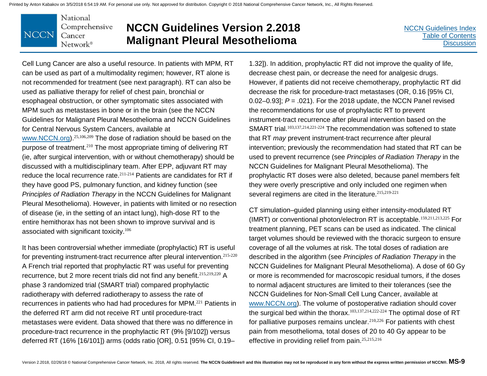

# **NCCN Guidelines Version 2.2018 Malignant Pleural Mesothelioma**

[NCCN Guidelines Index](http://www.nccn.org/professionals/physician_gls/f_guidelines.asp) [Table of Contents](#page-2-0) **[Discussion](#page-16-0)** 

Cell Lung Cancer are also a useful resource. In patients with MPM, RT can be used as part of a multimodality regimen; however, RT alone is not recommended for treatment (see next paragraph). RT can also be used as palliative therapy for relief of chest pain, bronchial or esophageal obstruction, or other symptomatic sites associated with MPM such as metastases in bone or in the brain (see the NCCN Guidelines for Malignant Pleural Mesothelioma and NCCN Guidelines for Central Nervous System Cancers, available at www.NCCN.org).25,106,209 The dose of radiation should be based on the purpose of treatment.<sup>210</sup> The most appropriate timing of delivering RT (ie, after surgical intervention, with or without chemotherapy) should be discussed with a multidisciplinary team. After EPP, adjuvant RT may reduce the local recurrence rate.211-214 Patients are candidates for RT if they have good PS, pulmonary function, and kidney function (see *Principles of Radiation Therapy* in the NCCN Guidelines for Malignant Pleural Mesothelioma). However, in patients with limited or no resection of disease (ie, in the setting of an intact lung), high-dose RT to the entire hemithorax has not been shown to improve survival and is associated with significant toxicity.<sup>106</sup>

It has been controversial whether immediate (prophylactic) RT is useful for preventing instrument-tract recurrence after pleural intervention. 215-220 A French trial reported that prophylactic RT was useful for preventing recurrence, but 2 more recent trials did not find any benefit.<sup>215,219,220</sup> A phase 3 randomized trial (SMART trial) compared prophylactic radiotherapy with deferred radiotherapy to assess the rate of recurrences in patients who had had procedures for MPM.<sup>221</sup> Patients in the deferred RT arm did not receive RT until procedure-tract metastases were evident. Data showed that there was no difference in procedure-tract recurrence in the prophylactic RT (9% [9/102]) versus deferred RT (16% [16/101]) arms (odds ratio [OR], 0.51 [95% CI, 0.19–

1.32]). In addition, prophylactic RT did not improve the quality of life, decrease chest pain, or decrease the need for analgesic drugs. However, if patients did not receive chemotherapy, prophylactic RT did decrease the risk for procedure-tract metastases (OR, 0.16 [95% CI, 0.02–0.93]; *P* = .021). For the 2018 update, the NCCN Panel revised the recommendations for use of prophylactic RT to prevent instrument-tract recurrence after pleural intervention based on the SMART trial.<sup>103,137,214,221-224</sup> The recommendation was softened to state that RT *may* prevent instrument-tract recurrence after pleural intervention; previously the recommendation had stated that RT can be used to prevent recurrence (see *Principles of Radiation Therapy* in the NCCN Guidelines for Malignant Pleural Mesothelioma). The prophylactic RT doses were also deleted, because panel members felt they were overly prescriptive and only included one regimen when several regimens are cited in the literature.<sup>215,219-221</sup>

CT simulation–guided planning using either intensity-modulated RT (IMRT) or conventional photon/electron RT is acceptable. 159,211,213,225 For treatment planning, PET scans can be used as indicated. The clinical target volumes should be reviewed with the thoracic surgeon to ensure coverage of all the volumes at risk. The total doses of radiation are described in the algorithm (see *Principles of Radiation Therapy* in the NCCN Guidelines for Malignant Pleural Mesothelioma). A dose of 60 Gy or more is recommended for macroscopic residual tumors, if the doses to normal adjacent structures are limited to their tolerances (see the NCCN Guidelines for Non-Small Cell Lung Cancer, available at www.NCCN.org). The volume of postoperative radiation should cover the surgical bed within the thorax. $^{103,137,214,222\cdot224}$  The optimal dose of RT for palliative purposes remains unclear.<sup>210,226</sup> For patients with chest pain from mesothelioma, total doses of 20 to 40 Gy appear to be effective in providing relief from pain.<sup>25,215,216</sup>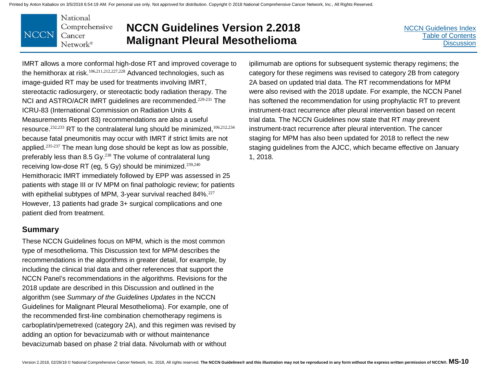

# **NCCN Guidelines Version 2.2018 Malignant Pleural Mesothelioma**

[NCCN Guidelines Index](http://www.nccn.org/professionals/physician_gls/f_guidelines.asp) [Table of Contents](#page-2-0) **[Discussion](#page-16-0)** 

IMRT allows a more conformal high-dose RT and improved coverage to the hemithorax at risk.<sup>106,211,212,227,228</sup> Advanced technologies, such as image-guided RT may be used for treatments involving IMRT, stereotactic radiosurgery, or stereotactic body radiation therapy. The NCI and ASTRO/ACR IMRT guidelines are recommended.<sup>229-231</sup> The ICRU-83 (International Commission on Radiation Units & Measurements Report 83) recommendations are also a useful resource.232,233 RT to the contralateral lung should be minimized,106,212,234 because fatal pneumonitis may occur with IMRT if strict limits are not applied.235-237 The mean lung dose should be kept as low as possible, preferably less than 8.5 Gy.<sup>238</sup> The volume of contralateral lung receiving low-dose RT (eg,  $5$  Gy) should be minimized.<sup>239,240</sup> Hemithoracic IMRT immediately followed by EPP was assessed in 25 patients with stage III or IV MPM on final pathologic review; for patients with epithelial subtypes of MPM, 3-year survival reached 84%.<sup>227</sup> However, 13 patients had grade 3+ surgical complications and one patient died from treatment.

#### **Summary**

These NCCN Guidelines focus on MPM, which is the most common type of mesothelioma. This Discussion text for MPM describes the recommendations in the algorithms in greater detail, for example, by including the clinical trial data and other references that support the NCCN Panel's recommendations in the algorithms. Revisions for the 2018 update are described in this Discussion and outlined in the algorithm (see *Summary of the Guidelines Updates* in the NCCN Guidelines for Malignant Pleural Mesothelioma). For example, one of the recommended first-line combination chemotherapy regimens is carboplatin/pemetrexed (category 2A), and this regimen was revised by adding an option for bevacizumab with or without maintenance bevacizumab based on phase 2 trial data. Nivolumab with or without

ipilimumab are options for subsequent systemic therapy regimens; the category for these regimens was revised to category 2B from category 2A based on updated trial data. The RT recommendations for MPM were also revised with the 2018 update. For example, the NCCN Panel has softened the recommendation for using prophylactic RT to prevent instrument-tract recurrence after pleural intervention based on recent trial data. The NCCN Guidelines now state that RT *may* prevent instrument-tract recurrence after pleural intervention. The cancer staging for MPM has also been updated for 2018 to reflect the new staging guidelines from the AJCC, which became effective on January 1, 2018.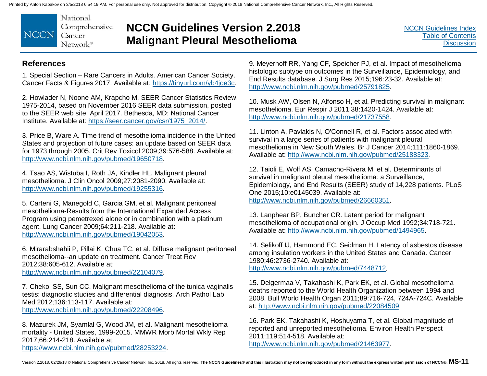National Comprehensive **NCCN** Cancer  $Network^{\circ}$ 

# **NCCN Guidelines Version 2.2018 Malignant Pleural Mesothelioma**

#### **References**

1. Special Section – Rare Cancers in Adults. American Cancer Society. Cancer Facts & Figures 2017. Available at: https://tinyurl.com/yb4joe3c.

2. Howlader N, Noone AM, Krapcho M. SEER Cancer Statistics Review, 1975-2014, based on November 2016 SEER data submission, posted to the SEER web site, April 2017. Bethesda, MD: National Cancer Institute. Available at: https://seer.cancer.gov/csr/1975\_2014/.

3. Price B, Ware A. Time trend of mesothelioma incidence in the United States and projection of future cases: an update based on SEER data for 1973 through 2005. Crit Rev Toxicol 2009;39:576-588. Available at: http://www.ncbi.nlm.nih.gov/pubmed/19650718.

4. Tsao AS, Wistuba I, Roth JA, Kindler HL. Malignant pleural mesothelioma. J Clin Oncol 2009;27:2081-2090. Available at: http://www.ncbi.nlm.nih.gov/pubmed/19255316.

5. Carteni G, Manegold C, Garcia GM, et al. Malignant peritoneal mesothelioma-Results from the International Expanded Access Program using pemetrexed alone or in combination with a platinum agent. Lung Cancer 2009;64:211-218. Available at: http://www.ncbi.nlm.nih.gov/pubmed/19042053.

6. Mirarabshahii P, Pillai K, Chua TC, et al. Diffuse malignant peritoneal mesothelioma--an update on treatment. Cancer Treat Rev 2012;38:605-612. Available at: http://www.ncbi.nlm.nih.gov/pubmed/22104079.

7. Chekol SS, Sun CC. Malignant mesothelioma of the tunica vaginalis testis: diagnostic studies and differential diagnosis. Arch Pathol Lab Med 2012;136:113-117. Available at: http://www.ncbi.nlm.nih.gov/pubmed/22208496.

8. Mazurek JM, Syamlal G, Wood JM, et al. Malignant mesothelioma mortality - United States, 1999-2015. MMWR Morb Mortal Wkly Rep 2017;66:214-218. Available at: https://www.ncbi.nlm.nih.gov/pubmed/28253224.

9. Meyerhoff RR, Yang CF, Speicher PJ, et al. Impact of mesothelioma histologic subtype on outcomes in the Surveillance, Epidemiology, and End Results database. J Surg Res 2015;196:23-32. Available at: http://www.ncbi.nlm.nih.gov/pubmed/25791825.

10. Musk AW, Olsen N, Alfonso H, et al. Predicting survival in malignant mesothelioma. Eur Respir J 2011;38:1420-1424. Available at: http://www.ncbi.nlm.nih.gov/pubmed/21737558.

11. Linton A, Pavlakis N, O'Connell R, et al. Factors associated with survival in a large series of patients with malignant pleural mesothelioma in New South Wales. Br J Cancer 2014;111:1860-1869. Available at: http://www.ncbi.nlm.nih.gov/pubmed/25188323.

12. Taioli E, Wolf AS, Camacho-Rivera M, et al. Determinants of survival in malignant pleural mesothelioma: a Surveillance, Epidemiology, and End Results (SEER) study of 14,228 patients. PLoS One 2015;10:e0145039. Available at: http://www.ncbi.nlm.nih.gov/pubmed/26660351.

13. Lanphear BP, Buncher CR. Latent period for malignant mesothelioma of occupational origin. J Occup Med 1992;34:718-721. Available at: http://www.ncbi.nlm.nih.gov/pubmed/1494965.

14. Selikoff IJ, Hammond EC, Seidman H. Latency of asbestos disease among insulation workers in the United States and Canada. Cancer 1980;46:2736-2740. Available at:

http://www.ncbi.nlm.nih.gov/pubmed/7448712.

15. Delgermaa V, Takahashi K, Park EK, et al. Global mesothelioma deaths reported to the World Health Organization between 1994 and 2008. Bull World Health Organ 2011;89:716-724, 724A-724C. Available at: http://www.ncbi.nlm.nih.gov/pubmed/22084509.

16. Park EK, Takahashi K, Hoshuyama T, et al. Global magnitude of reported and unreported mesothelioma. Environ Health Perspect 2011;119:514-518. Available at: http://www.ncbi.nlm.nih.gov/pubmed/21463977.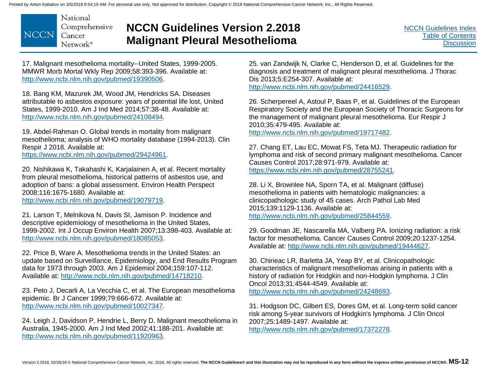

# **NCCN Guidelines Version 2.2018 Malignant Pleural Mesothelioma**

17. Malignant mesothelioma mortality--United States, 1999-2005. MMWR Morb Mortal Wkly Rep 2009;58:393-396. Available at: http://www.ncbi.nlm.nih.gov/pubmed/19390506.

18. Bang KM, Mazurek JM, Wood JM, Hendricks SA. Diseases attributable to asbestos exposure: years of potential life lost, United States, 1999-2010. Am J Ind Med 2014;57:38-48. Available at: http://www.ncbi.nlm.nih.gov/pubmed/24108494.

19. Abdel-Rahman O. Global trends in mortality from malignant mesothelioma; analysis of WHO mortality database (1994-2013). Clin Respir J 2018. Available at:

https://www.ncbi.nlm.nih.gov/pubmed/29424961.

20. Nishikawa K, Takahashi K, Karjalainen A, et al. Recent mortality from pleural mesothelioma, historical patterns of asbestos use, and adoption of bans: a global assessment. Environ Health Perspect 2008;116:1675-1680. Available at:

http://www.ncbi.nlm.nih.gov/pubmed/19079719.

21. Larson T, Melnikova N, Davis SI, Jamison P. Incidence and descriptive epidemiology of mesothelioma in the United States, 1999-2002. Int J Occup Environ Health 2007;13:398-403. Available at: http://www.ncbi.nlm.nih.gov/pubmed/18085053.

22. Price B, Ware A. Mesothelioma trends in the United States: an update based on Surveillance, Epidemiology, and End Results Program data for 1973 through 2003. Am J Epidemiol 2004;159:107-112. Available at: http://www.ncbi.nlm.nih.gov/pubmed/14718210.

23. Peto J, Decarli A, La Vecchia C, et al. The European mesothelioma epidemic. Br J Cancer 1999;79:666-672. Available at: http://www.ncbi.nlm.nih.gov/pubmed/10027347.

24. Leigh J, Davidson P, Hendrie L, Berry D. Malignant mesothelioma in Australia, 1945-2000. Am J Ind Med 2002;41:188-201. Available at: http://www.ncbi.nlm.nih.gov/pubmed/11920963.

25. van Zandwijk N, Clarke C, Henderson D, et al. Guidelines for the diagnosis and treatment of malignant pleural mesothelioma. J Thorac Dis 2013;5:E254-307. Available at: http://www.ncbi.nlm.nih.gov/pubmed/24416529.

26. Scherpereel A, Astoul P, Baas P, et al. Guidelines of the European Respiratory Society and the European Society of Thoracic Surgeons for the management of malignant pleural mesothelioma. Eur Respir J 2010;35:479-495. Available at:

http://www.ncbi.nlm.nih.gov/pubmed/19717482.

27. Chang ET, Lau EC, Mowat FS, Teta MJ. Therapeutic radiation for lymphoma and risk of second primary malignant mesothelioma. Cancer Causes Control 2017;28:971-979. Available at: https://www.ncbi.nlm.nih.gov/pubmed/28755241.

28. Li X, Brownlee NA, Sporn TA, et al. Malignant (diffuse) mesothelioma in patients with hematologic malignancies: a clinicopathologic study of 45 cases. Arch Pathol Lab Med 2015;139:1129-1136. Available at: http://www.ncbi.nlm.nih.gov/pubmed/25844559.

29. Goodman JE, Nascarella MA, Valberg PA. Ionizing radiation: a risk factor for mesothelioma. Cancer Causes Control 2009;20:1237-1254. Available at: http://www.ncbi.nlm.nih.gov/pubmed/19444627.

30. Chirieac LR, Barletta JA, Yeap BY, et al. Clinicopathologic characteristics of malignant mesotheliomas arising in patients with a history of radiation for Hodgkin and non-Hodgkin lymphoma. J Clin Oncol 2013;31:4544-4549. Available at: http://www.ncbi.nlm.nih.gov/pubmed/24248693.

31. Hodgson DC, Gilbert ES, Dores GM, et al. Long-term solid cancer risk among 5-year survivors of Hodgkin's lymphoma. J Clin Oncol 2007;25:1489-1497. Available at: http://www.ncbi.nlm.nih.gov/pubmed/17372278.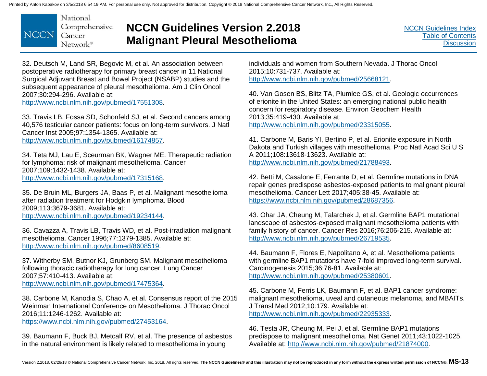

## **NCCN Guidelines Version 2.2018 Malignant Pleural Mesothelioma**

32. Deutsch M, Land SR, Begovic M, et al. An association between postoperative radiotherapy for primary breast cancer in 11 National Surgical Adjuvant Breast and Bowel Project (NSABP) studies and the subsequent appearance of pleural mesothelioma. Am J Clin Oncol 2007;30:294-296. Available at:

http://www.ncbi.nlm.nih.gov/pubmed/17551308.

33. Travis LB, Fossa SD, Schonfeld SJ, et al. Second cancers among 40,576 testicular cancer patients: focus on long-term survivors. J Natl Cancer Inst 2005;97:1354-1365. Available at: http://www.ncbi.nlm.nih.gov/pubmed/16174857.

34. Teta MJ, Lau E, Sceurman BK, Wagner ME. Therapeutic radiation for lymphoma: risk of malignant mesothelioma. Cancer 2007;109:1432-1438. Available at: http://www.ncbi.nlm.nih.gov/pubmed/17315168.

35. De Bruin ML, Burgers JA, Baas P, et al. Malignant mesothelioma after radiation treatment for Hodgkin lymphoma. Blood 2009;113:3679-3681. Available at: http://www.ncbi.nlm.nih.gov/pubmed/19234144.

36. Cavazza A, Travis LB, Travis WD, et al. Post-irradiation malignant mesothelioma. Cancer 1996;77:1379-1385. Available at: http://www.ncbi.nlm.nih.gov/pubmed/8608519.

37. Witherby SM, Butnor KJ, Grunberg SM. Malignant mesothelioma following thoracic radiotherapy for lung cancer. Lung Cancer 2007;57:410-413. Available at: http://www.ncbi.nlm.nih.gov/pubmed/17475364.

38. Carbone M, Kanodia S, Chao A, et al. Consensus report of the 2015 Weinman International Conference on Mesothelioma. J Thorac Oncol 2016;11:1246-1262. Available at: https://www.ncbi.nlm.nih.gov/pubmed/27453164.

39. Baumann F, Buck BJ, Metcalf RV, et al. The presence of asbestos in the natural environment is likely related to mesothelioma in young

individuals and women from Southern Nevada. J Thorac Oncol 2015;10:731-737. Available at: http://www.ncbi.nlm.nih.gov/pubmed/25668121.

40. Van Gosen BS, Blitz TA, Plumlee GS, et al. Geologic occurrences of erionite in the United States: an emerging national public health concern for respiratory disease. Environ Geochem Health 2013;35:419-430. Available at: http://www.ncbi.nlm.nih.gov/pubmed/23315055.

41. Carbone M, Baris YI, Bertino P, et al. Erionite exposure in North Dakota and Turkish villages with mesothelioma. Proc Natl Acad Sci U S A 2011;108:13618-13623. Available at: http://www.ncbi.nlm.nih.gov/pubmed/21788493.

42. Betti M, Casalone E, Ferrante D, et al. Germline mutations in DNA repair genes predispose asbestos-exposed patients to malignant pleural mesothelioma. Cancer Lett 2017;405:38-45. Available at: https://www.ncbi.nlm.nih.gov/pubmed/28687356.

43. Ohar JA, Cheung M, Talarchek J, et al. Germline BAP1 mutational landscape of asbestos-exposed malignant mesothelioma patients with family history of cancer. Cancer Res 2016;76:206-215. Available at: http://www.ncbi.nlm.nih.gov/pubmed/26719535.

44. Baumann F, Flores E, Napolitano A, et al. Mesothelioma patients with germline BAP1 mutations have 7-fold improved long-term survival. Carcinogenesis 2015;36:76-81. Available at: http://www.ncbi.nlm.nih.gov/pubmed/25380601.

45. Carbone M, Ferris LK, Baumann F, et al. BAP1 cancer syndrome: malignant mesothelioma, uveal and cutaneous melanoma, and MBAITs. J Transl Med 2012;10:179. Available at: http://www.ncbi.nlm.nih.gov/pubmed/22935333.

46. Testa JR, Cheung M, Pei J, et al. Germline BAP1 mutations predispose to malignant mesothelioma. Nat Genet 2011;43:1022-1025. Available at: http://www.ncbi.nlm.nih.gov/pubmed/21874000.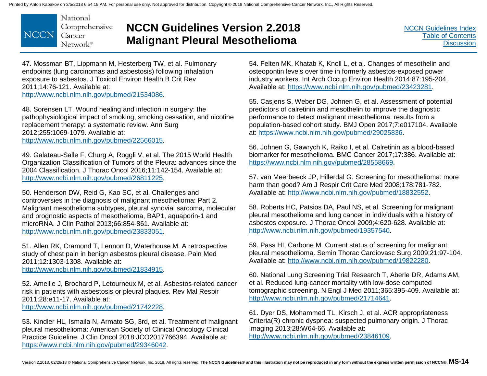

# **NCCN Guidelines Version 2.2018 Malignant Pleural Mesothelioma**

[NCCN Guidelines Index](http://www.nccn.org/professionals/physician_gls/f_guidelines.asp) [Table of Contents](#page-2-0) **[Discussion](#page-16-0)** 

47. Mossman BT, Lippmann M, Hesterberg TW, et al. Pulmonary endpoints (lung carcinomas and asbestosis) following inhalation exposure to asbestos. J Toxicol Environ Health B Crit Rev 2011;14:76-121. Available at: http://www.ncbi.nlm.nih.gov/pubmed/21534086.

48. Sorensen LT. Wound healing and infection in surgery: the pathophysiological impact of smoking, smoking cessation, and nicotine replacement therapy: a systematic review. Ann Surg 2012;255:1069-1079. Available at: http://www.ncbi.nlm.nih.gov/pubmed/22566015.

49. Galateau-Salle F, Churg A, Roggli V, et al. The 2015 World Health Organization Classification of Tumors of the Pleura: advances since the 2004 Classification. J Thorac Oncol 2016;11:142-154. Available at: http://www.ncbi.nlm.nih.gov/pubmed/26811225.

50. Henderson DW, Reid G, Kao SC, et al. Challenges and controversies in the diagnosis of malignant mesothelioma: Part 2. Malignant mesothelioma subtypes, pleural synovial sarcoma, molecular and prognostic aspects of mesothelioma, BAP1, aquaporin-1 and microRNA. J Clin Pathol 2013;66:854-861. Available at: http://www.ncbi.nlm.nih.gov/pubmed/23833051.

51. Allen RK, Cramond T, Lennon D, Waterhouse M. A retrospective study of chest pain in benign asbestos pleural disease. Pain Med 2011;12:1303-1308. Available at: http://www.ncbi.nlm.nih.gov/pubmed/21834915.

52. Ameille J, Brochard P, Letourneux M, et al. Asbestos-related cancer risk in patients with asbestosis or pleural plaques. Rev Mal Respir 2011;28:e11-17. Available at: http://www.ncbi.nlm.nih.gov/pubmed/21742228.

53. Kindler HL, Ismaila N, Armato SG, 3rd, et al. Treatment of malignant pleural mesothelioma: American Society of Clinical Oncology Clinical Practice Guideline. J Clin Oncol 2018:JCO2017766394. Available at: https://www.ncbi.nlm.nih.gov/pubmed/29346042.

54. Felten MK, Khatab K, Knoll L, et al. Changes of mesothelin and osteopontin levels over time in formerly asbestos-exposed power industry workers. Int Arch Occup Environ Health 2014;87:195-204. Available at: https://www.ncbi.nlm.nih.gov/pubmed/23423281.

55. Casjens S, Weber DG, Johnen G, et al. Assessment of potential predictors of calretinin and mesothelin to improve the diagnostic performance to detect malignant mesothelioma: results from a population-based cohort study. BMJ Open 2017;7:e017104. Available at: https://www.ncbi.nlm.nih.gov/pubmed/29025836.

56. Johnen G, Gawrych K, Raiko I, et al. Calretinin as a blood-based biomarker for mesothelioma. BMC Cancer 2017;17:386. Available at: https://www.ncbi.nlm.nih.gov/pubmed/28558669.

57. van Meerbeeck JP, Hillerdal G. Screening for mesothelioma: more harm than good? Am J Respir Crit Care Med 2008;178:781-782. Available at: http://www.ncbi.nlm.nih.gov/pubmed/18832552.

58. Roberts HC, Patsios DA, Paul NS, et al. Screening for malignant pleural mesothelioma and lung cancer in individuals with a history of asbestos exposure. J Thorac Oncol 2009;4:620-628. Available at: http://www.ncbi.nlm.nih.gov/pubmed/19357540.

59. Pass HI, Carbone M. Current status of screening for malignant pleural mesothelioma. Semin Thorac Cardiovasc Surg 2009;21:97-104. Available at: http://www.ncbi.nlm.nih.gov/pubmed/19822280.

60. National Lung Screening Trial Research T, Aberle DR, Adams AM, et al. Reduced lung-cancer mortality with low-dose computed tomographic screening. N Engl J Med 2011;365:395-409. Available at: http://www.ncbi.nlm.nih.gov/pubmed/21714641.

61. Dyer DS, Mohammed TL, Kirsch J, et al. ACR appropriateness Criteria(R) chronic dyspnea: suspected pulmonary origin. J Thorac Imaging 2013;28:W64-66. Available at: http://www.ncbi.nlm.nih.gov/pubmed/23846109.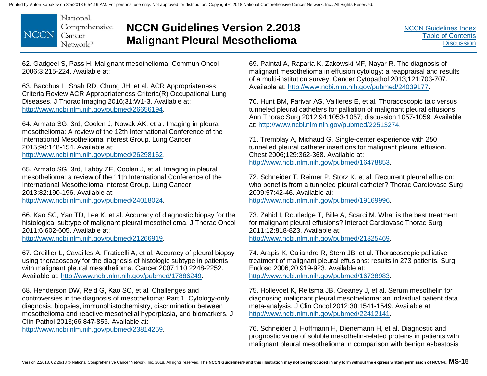National Comprehensive **NCCN** Cancer Network<sup>®</sup>

# **NCCN Guidelines Version 2.2018 Malignant Pleural Mesothelioma**

62. Gadgeel S, Pass H. Malignant mesothelioma. Commun Oncol 2006;3:215-224. Available at:

63. Bacchus L, Shah RD, Chung JH, et al. ACR Appropriateness Criteria Review ACR Appropriateness Criteria(R) Occupational Lung Diseases. J Thorac Imaging 2016;31:W1-3. Available at: http://www.ncbi.nlm.nih.gov/pubmed/26656194.

64. Armato SG, 3rd, Coolen J, Nowak AK, et al. Imaging in pleural mesothelioma: A review of the 12th International Conference of the International Mesothelioma Interest Group. Lung Cancer 2015;90:148-154. Available at:

http://www.ncbi.nlm.nih.gov/pubmed/26298162.

65. Armato SG, 3rd, Labby ZE, Coolen J, et al. Imaging in pleural mesothelioma: a review of the 11th International Conference of the International Mesothelioma Interest Group. Lung Cancer 2013;82:190-196. Available at: http://www.ncbi.nlm.nih.gov/pubmed/24018024.

66. Kao SC, Yan TD, Lee K, et al. Accuracy of diagnostic biopsy for the histological subtype of malignant pleural mesothelioma. J Thorac Oncol 2011;6:602-605. Available at: http://www.ncbi.nlm.nih.gov/pubmed/21266919.

67. Greillier L, Cavailles A, Fraticelli A, et al. Accuracy of pleural biopsy using thoracoscopy for the diagnosis of histologic subtype in patients with malignant pleural mesothelioma. Cancer 2007;110:2248-2252. Available at: http://www.ncbi.nlm.nih.gov/pubmed/17886249.

68. Henderson DW, Reid G, Kao SC, et al. Challenges and controversies in the diagnosis of mesothelioma: Part 1. Cytology-only diagnosis, biopsies, immunohistochemistry, discrimination between mesothelioma and reactive mesothelial hyperplasia, and biomarkers. J Clin Pathol 2013;66:847-853. Available at:

http://www.ncbi.nlm.nih.gov/pubmed/23814259.

69. Paintal A, Raparia K, Zakowski MF, Nayar R. The diagnosis of malignant mesothelioma in effusion cytology: a reappraisal and results of a multi-institution survey. Cancer Cytopathol 2013;121:703-707. Available at: http://www.ncbi.nlm.nih.gov/pubmed/24039177.

70. Hunt BM, Farivar AS, Vallieres E, et al. Thoracoscopic talc versus tunneled pleural catheters for palliation of malignant pleural effusions. Ann Thorac Surg 2012;94:1053-1057; discussion 1057-1059. Available at: http://www.ncbi.nlm.nih.gov/pubmed/22513274.

71. Tremblay A, Michaud G. Single-center experience with 250 tunnelled pleural catheter insertions for malignant pleural effusion. Chest 2006;129:362-368. Available at: http://www.ncbi.nlm.nih.gov/pubmed/16478853.

72. Schneider T, Reimer P, Storz K, et al. Recurrent pleural effusion: who benefits from a tunneled pleural catheter? Thorac Cardiovasc Surg 2009;57:42-46. Available at: http://www.ncbi.nlm.nih.gov/pubmed/19169996.

73. Zahid I, Routledge T, Bille A, Scarci M. What is the best treatment for malignant pleural effusions? Interact Cardiovasc Thorac Surg 2011;12:818-823. Available at: http://www.ncbi.nlm.nih.gov/pubmed/21325469.

74. Arapis K, Caliandro R, Stern JB, et al. Thoracoscopic palliative treatment of malignant pleural effusions: results in 273 patients. Surg Endosc 2006;20:919-923. Available at: http://www.ncbi.nlm.nih.gov/pubmed/16738983.

75. Hollevoet K, Reitsma JB, Creaney J, et al. Serum mesothelin for diagnosing malignant pleural mesothelioma: an individual patient data meta-analysis. J Clin Oncol 2012;30:1541-1549. Available at: http://www.ncbi.nlm.nih.gov/pubmed/22412141.

76. Schneider J, Hoffmann H, Dienemann H, et al. Diagnostic and prognostic value of soluble mesothelin-related proteins in patients with malignant pleural mesothelioma in comparison with benign asbestosis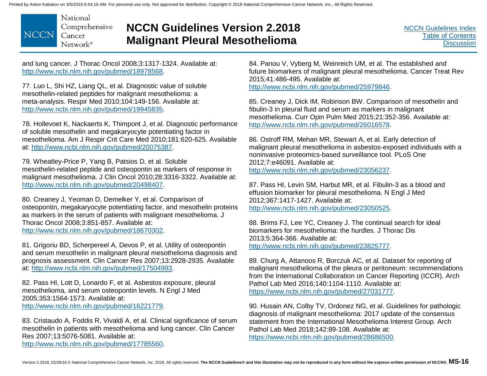

# **NCCN Guidelines Version 2.2018 Malignant Pleural Mesothelioma**

and lung cancer. J Thorac Oncol 2008;3:1317-1324. Available at: http://www.ncbi.nlm.nih.gov/pubmed/18978568.

77. Luo L, Shi HZ, Liang QL, et al. Diagnostic value of soluble mesothelin-related peptides for malignant mesothelioma: a meta-analysis. Respir Med 2010;104:149-156. Available at: http://www.ncbi.nlm.nih.gov/pubmed/19945835.

78. Hollevoet K, Nackaerts K, Thimpont J, et al. Diagnostic performance of soluble mesothelin and megakaryocyte potentiating factor in mesothelioma. Am J Respir Crit Care Med 2010;181:620-625. Available at: http://www.ncbi.nlm.nih.gov/pubmed/20075387.

79. Wheatley-Price P, Yang B, Patsios D, et al. Soluble mesothelin-related peptide and osteopontin as markers of response in malignant mesothelioma. J Clin Oncol 2010;28:3316-3322. Available at: http://www.ncbi.nlm.nih.gov/pubmed/20498407.

80. Creaney J, Yeoman D, Demelker Y, et al. Comparison of osteopontin, megakaryocyte potentiating factor, and mesothelin proteins as markers in the serum of patients with malignant mesothelioma. J Thorac Oncol 2008;3:851-857. Available at: http://www.ncbi.nlm.nih.gov/pubmed/18670302.

81. Grigoriu BD, Scherpereel A, Devos P, et al. Utility of osteopontin and serum mesothelin in malignant pleural mesothelioma diagnosis and prognosis assessment. Clin Cancer Res 2007;13:2928-2935. Available at: http://www.ncbi.nlm.nih.gov/pubmed/17504993.

82. Pass HI, Lott D, Lonardo F, et al. Asbestos exposure, pleural mesothelioma, and serum osteopontin levels. N Engl J Med 2005;353:1564-1573. Available at: http://www.ncbi.nlm.nih.gov/pubmed/16221779.

83. Cristaudo A, Foddis R, Vivaldi A, et al. Clinical significance of serum mesothelin in patients with mesothelioma and lung cancer. Clin Cancer Res 2007;13:5076-5081. Available at: http://www.ncbi.nlm.nih.gov/pubmed/17785560.

84. Panou V, Vyberg M, Weinreich UM, et al. The established and future biomarkers of malignant pleural mesothelioma. Cancer Treat Rev 2015;41:486-495. Available at: http://www.ncbi.nlm.nih.gov/pubmed/25979846.

85. Creaney J, Dick IM, Robinson BW. Comparison of mesothelin and

fibulin-3 in pleural fluid and serum as markers in malignant mesothelioma. Curr Opin Pulm Med 2015;21:352-356. Available at: http://www.ncbi.nlm.nih.gov/pubmed/26016578.

86. Ostroff RM, Mehan MR, Stewart A, et al. Early detection of malignant pleural mesothelioma in asbestos-exposed individuals with a noninvasive proteomics-based surveillance tool. PLoS One 2012;7:e46091. Available at: http://www.ncbi.nlm.nih.gov/pubmed/23056237.

87. Pass HI, Levin SM, Harbut MR, et al. Fibulin-3 as a blood and effusion biomarker for pleural mesothelioma. N Engl J Med 2012;367:1417-1427. Available at: http://www.ncbi.nlm.nih.gov/pubmed/23050525.

88. Brims FJ, Lee YC, Creaney J. The continual search for ideal biomarkers for mesothelioma: the hurdles. J Thorac Dis 2013;5:364-366. Available at: http://www.ncbi.nlm.nih.gov/pubmed/23825777.

89. Churg A, Attanoos R, Borczuk AC, et al. Dataset for reporting of malignant mesothelioma of the pleura or peritoneum: recommendations from the International Collaboration on Cancer Reporting (ICCR). Arch Pathol Lab Med 2016;140:1104-1110. Available at: https://www.ncbi.nlm.nih.gov/pubmed/27031777.

90. Husain AN, Colby TV, Ordonez NG, et al. Guidelines for pathologic diagnosis of malignant mesothelioma: 2017 update of the consensus statement from the International Mesothelioma Interest Group. Arch Pathol Lab Med 2018;142:89-108. Available at: https://www.ncbi.nlm.nih.gov/pubmed/28686500.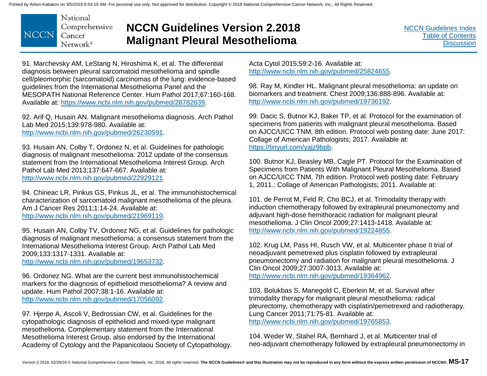

# **NCCN Guidelines Version 2.2018 Malignant Pleural Mesothelioma**

[NCCN Guidelines Index](http://www.nccn.org/professionals/physician_gls/f_guidelines.asp) [Table of Contents](#page-2-0) **[Discussion](#page-16-0)** 

91. Marchevsky AM, LeStang N, Hiroshima K, et al. The differential diagnosis between pleural sarcomatoid mesothelioma and spindle cell/pleomorphic (sarcomatoid) carcinomas of the lung: evidence-based guidelines from the International Mesothelioma Panel and the MESOPATH National Reference Center. Hum Pathol 2017;67:160-168. Available at: https://www.ncbi.nlm.nih.gov/pubmed/28782639.

92. Arif Q, Husain AN. Malignant mesothelioma diagnosis. Arch Pathol Lab Med 2015;139:978-980. Available at: http://www.ncbi.nlm.nih.gov/pubmed/26230591.

93. Husain AN, Colby T, Ordonez N, et al. Guidelines for pathologic diagnosis of malignant mesothelioma: 2012 update of the consensus statement from the International Mesothelioma Interest Group. Arch Pathol Lab Med 2013;137:647-667. Available at: http://www.ncbi.nlm.nih.gov/pubmed/22929121.

94. Chirieac LR, Pinkus GS, Pinkus JL, et al. The immunohistochemical characterization of sarcomatoid malignant mesothelioma of the pleura. Am J Cancer Res 2011:1:14-24. Available at: http://www.ncbi.nlm.nih.gov/pubmed/21969119.

95. Husain AN, Colby TV, Ordonez NG, et al. Guidelines for pathologic diagnosis of malignant mesothelioma: a consensus statement from the International Mesothelioma Interest Group. Arch Pathol Lab Med 2009;133:1317-1331. Available at:

http://www.ncbi.nlm.nih.gov/pubmed/19653732.

96. Ordonez NG. What are the current best immunohistochemical markers for the diagnosis of epithelioid mesothelioma? A review and update. Hum Pathol 2007;38:1-16. Available at: http://www.ncbi.nlm.nih.gov/pubmed/17056092.

97. Hjerpe A, Ascoli V, Bedrossian CW, et al. Guidelines for the cytopathologic diagnosis of epithelioid and mixed-type malignant mesothelioma. Complementary statement from the International Mesothelioma Interest Group, also endorsed by the International Academy of Cytology and the Papanicolaou Society of Cytopathology. Acta Cytol 2015;59:2-16. Available at: http://www.ncbi.nlm.nih.gov/pubmed/25824655.

98. Ray M, Kindler HL. Malignant pleural mesothelioma: an update on biomarkers and treatment. Chest 2009;136:888-896. Available at: http://www.ncbi.nlm.nih.gov/pubmed/19736192.

99. Dacic S, Butnor KJ, Baker TP, et al. Protocol for the examination of specimens from patients with malignant pleural mesothelioma. Based on AJCC/UICC TNM, 8th edition. Protocol web posting date: June 2017: Collage of American Pathologists; 2017. Available at: https://tinyurl.com/yajz9bpb.

100. Butnor KJ, Beasley MB, Cagle PT. Protocol for the Examination of Specimens from Patients With Malignant Pleural Mesothelioma. Based on AJCC/UICC TNM, 7th edition. Protocol web posting date: February 1, 2011.: Collage of American Pathologists; 2011. Available at:

101. de Perrot M, Feld R, Cho BCJ, et al. Trimodality therapy with induction chemotherapy followed by extrapleural pneumonectomy and adjuvant high-dose hemithoracic radiation for malignant pleural mesothelioma. J Clin Oncol 2009;27:1413-1418. Available at: http://www.ncbi.nlm.nih.gov/pubmed/19224855.

102. Krug LM, Pass HI, Rusch VW, et al. Multicenter phase II trial of neoadjuvant pemetrexed plus cisplatin followed by extrapleural pneumonectomy and radiation for malignant pleural mesothelioma. J Clin Oncol 2009;27:3007-3013. Available at: http://www.ncbi.nlm.nih.gov/pubmed/19364962.

103. Bolukbas S, Manegold C, Eberlein M, et al. Survival after trimodality therapy for malignant pleural mesothelioma: radical pleurectomy, chemotherapy with cisplatin/pemetrexed and radiotherapy. Lung Cancer 2011;71:75-81. Available at: http://www.ncbi.nlm.nih.gov/pubmed/19765853.

104. Weder W, Stahel RA, Bernhard J, et al. Multicenter trial of neo-adjuvant chemotherapy followed by extrapleural pneumonectomy in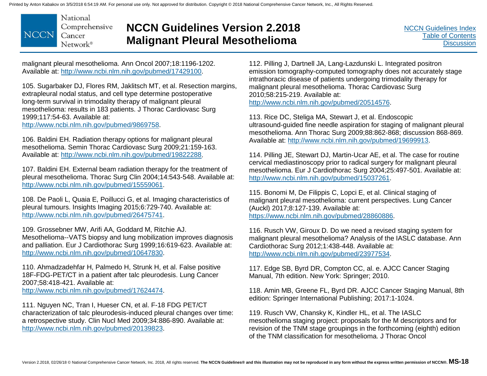National Comprehensive **NCCN** Cancer Network<sup>®</sup>

# **NCCN Guidelines Version 2.2018 Malignant Pleural Mesothelioma**

[NCCN Guidelines Index](http://www.nccn.org/professionals/physician_gls/f_guidelines.asp) [Table of Contents](#page-2-0) **[Discussion](#page-16-0)** 

malignant pleural mesothelioma. Ann Oncol 2007;18:1196-1202. Available at: http://www.ncbi.nlm.nih.gov/pubmed/17429100.

105. Sugarbaker DJ, Flores RM, Jaklitsch MT, et al. Resection margins, extrapleural nodal status, and cell type determine postoperative long-term survival in trimodality therapy of malignant pleural mesothelioma: results in 183 patients. J Thorac Cardiovasc Surg 1999;117:54-63. Available at:

http://www.ncbi.nlm.nih.gov/pubmed/9869758.

106. Baldini EH. Radiation therapy options for malignant pleural mesothelioma. Semin Thorac Cardiovasc Surg 2009;21:159-163. Available at: http://www.ncbi.nlm.nih.gov/pubmed/19822288.

107. Baldini EH. External beam radiation therapy for the treatment of pleural mesothelioma. Thorac Surg Clin 2004;14:543-548. Available at: http://www.ncbi.nlm.nih.gov/pubmed/15559061.

108. De Paoli L, Quaia E, Poillucci G, et al. Imaging characteristics of pleural tumours. Insights Imaging 2015;6:729-740. Available at: http://www.ncbi.nlm.nih.gov/pubmed/26475741.

109. Grossebner MW, Arifi AA, Goddard M, Ritchie AJ. Mesothelioma--VATS biopsy and lung mobilization improves diagnosis and palliation. Eur J Cardiothorac Surg 1999;16:619-623. Available at: http://www.ncbi.nlm.nih.gov/pubmed/10647830.

110. Ahmadzadehfar H, Palmedo H, Strunk H, et al. False positive 18F-FDG-PET/CT in a patient after talc pleurodesis. Lung Cancer 2007;58:418-421. Available at: http://www.ncbi.nlm.nih.gov/pubmed/17624474.

111. Nguyen NC, Tran I, Hueser CN, et al. F-18 FDG PET/CT characterization of talc pleurodesis-induced pleural changes over time: a retrospective study. Clin Nucl Med 2009;34:886-890. Available at: http://www.ncbi.nlm.nih.gov/pubmed/20139823.

112. Pilling J, Dartnell JA, Lang-Lazdunski L. Integrated positron emission tomography-computed tomography does not accurately stage intrathoracic disease of patients undergoing trimodality therapy for malignant pleural mesothelioma. Thorac Cardiovasc Surg 2010;58:215-219. Available at: http://www.ncbi.nlm.nih.gov/pubmed/20514576.

113. Rice DC, Steliga MA, Stewart J, et al. Endoscopic ultrasound-guided fine needle aspiration for staging of malignant pleural mesothelioma. Ann Thorac Surg 2009;88:862-868; discussion 868-869. Available at: http://www.ncbi.nlm.nih.gov/pubmed/19699913.

114. Pilling JE, Stewart DJ, Martin-Ucar AE, et al. The case for routine cervical mediastinoscopy prior to radical surgery for malignant pleural mesothelioma. Eur J Cardiothorac Surg 2004;25:497-501. Available at: http://www.ncbi.nlm.nih.gov/pubmed/15037261.

115. Bonomi M, De Filippis C, Lopci E, et al. Clinical staging of malignant pleural mesothelioma: current perspectives. Lung Cancer (Auckl) 2017;8:127-139. Available at: https://www.ncbi.nlm.nih.gov/pubmed/28860886.

116. Rusch VW, Giroux D. Do we need a revised staging system for malignant pleural mesothelioma? Analysis of the IASLC database. Ann Cardiothorac Surg 2012;1:438-448. Available at: http://www.ncbi.nlm.nih.gov/pubmed/23977534.

117. Edge SB, Byrd DR, Compton CC, al. e. AJCC Cancer Staging Manual, 7th edition. New York: Springer; 2010.

118. Amin MB, Greene FL, Byrd DR. AJCC Cancer Staging Manual, 8th edition: Springer International Publishing; 2017:1-1024.

119. Rusch VW, Chansky K, Kindler HL, et al. The IASLC mesothelioma staging project: proposals for the M descriptors and for revision of the TNM stage groupings in the forthcoming (eighth) edition of the TNM classification for mesothelioma. J Thorac Oncol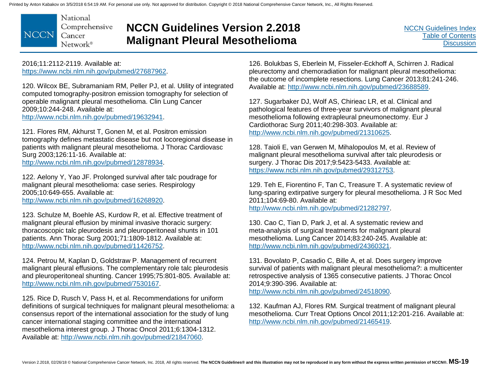National Comprehensive **NCCN** Cancer Network<sup>®</sup>

# **NCCN Guidelines Version 2.2018 Malignant Pleural Mesothelioma**

[NCCN Guidelines Index](http://www.nccn.org/professionals/physician_gls/f_guidelines.asp) [Table of Contents](#page-2-0) **[Discussion](#page-16-0)** 

2016;11:2112-2119. Available at: https://www.ncbi.nlm.nih.gov/pubmed/27687962.

120. Wilcox BE, Subramaniam RM, Peller PJ, et al. Utility of integrated computed tomography-positron emission tomography for selection of operable malignant pleural mesothelioma. Clin Lung Cancer 2009;10:244-248. Available at: http://www.ncbi.nlm.nih.gov/pubmed/19632941.

121. Flores RM, Akhurst T, Gonen M, et al. Positron emission tomography defines metastatic disease but not locoregional disease in patients with malignant pleural mesothelioma. J Thorac Cardiovasc Surg 2003;126:11-16. Available at:

http://www.ncbi.nlm.nih.gov/pubmed/12878934.

122. Aelony Y, Yao JF. Prolonged survival after talc poudrage for malignant pleural mesothelioma: case series. Respirology 2005;10:649-655. Available at: http://www.ncbi.nlm.nih.gov/pubmed/16268920.

123. Schulze M, Boehle AS, Kurdow R, et al. Effective treatment of malignant pleural effusion by minimal invasive thoracic surgery: thoracoscopic talc pleurodesis and pleuroperitoneal shunts in 101 patients. Ann Thorac Surg 2001;71:1809-1812. Available at: http://www.ncbi.nlm.nih.gov/pubmed/11426752.

124. Petrou M, Kaplan D, Goldstraw P. Management of recurrent malignant pleural effusions. The complementary role talc pleurodesis and pleuroperitoneal shunting. Cancer 1995;75:801-805. Available at: http://www.ncbi.nlm.nih.gov/pubmed/7530167.

125. Rice D, Rusch V, Pass H, et al. Recommendations for uniform definitions of surgical techniques for malignant pleural mesothelioma: a consensus report of the international association for the study of lung cancer international staging committee and the international mesothelioma interest group. J Thorac Oncol 2011;6:1304-1312. Available at: http://www.ncbi.nlm.nih.gov/pubmed/21847060.

126. Bolukbas S, Eberlein M, Fisseler-Eckhoff A, Schirren J. Radical pleurectomy and chemoradiation for malignant pleural mesothelioma: the outcome of incomplete resections. Lung Cancer 2013;81:241-246. Available at: http://www.ncbi.nlm.nih.gov/pubmed/23688589.

127. Sugarbaker DJ, Wolf AS, Chirieac LR, et al. Clinical and pathological features of three-year survivors of malignant pleural mesothelioma following extrapleural pneumonectomy. Eur J Cardiothorac Surg 2011;40:298-303. Available at: http://www.ncbi.nlm.nih.gov/pubmed/21310625.

128. Taioli E, van Gerwen M, Mihalopoulos M, et al. Review of malignant pleural mesothelioma survival after talc pleurodesis or surgery. J Thorac Dis 2017;9:5423-5433. Available at: https://www.ncbi.nlm.nih.gov/pubmed/29312753.

129. Teh E, Fiorentino F, Tan C, Treasure T. A systematic review of lung-sparing extirpative surgery for pleural mesothelioma. J R Soc Med 2011;104:69-80. Available at: http://www.ncbi.nlm.nih.gov/pubmed/21282797.

130. Cao C, Tian D, Park J, et al. A systematic review and meta-analysis of surgical treatments for malignant pleural mesothelioma. Lung Cancer 2014;83:240-245. Available at: http://www.ncbi.nlm.nih.gov/pubmed/24360321.

131. Bovolato P, Casadio C, Bille A, et al. Does surgery improve survival of patients with malignant pleural mesothelioma?: a multicenter retrospective analysis of 1365 consecutive patients. J Thorac Oncol 2014;9:390-396. Available at:

http://www.ncbi.nlm.nih.gov/pubmed/24518090.

132. Kaufman AJ, Flores RM. Surgical treatment of malignant pleural mesothelioma. Curr Treat Options Oncol 2011;12:201-216. Available at: http://www.ncbi.nlm.nih.gov/pubmed/21465419.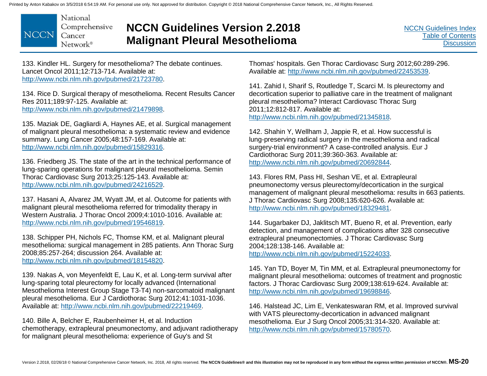National Comprehensive **NCCN** Cancer Network<sup>®</sup>

# **NCCN Guidelines Version 2.2018 Malignant Pleural Mesothelioma**

133. Kindler HL. Surgery for mesothelioma? The debate continues. Lancet Oncol 2011;12:713-714. Available at: http://www.ncbi.nlm.nih.gov/pubmed/21723780.

134. Rice D. Surgical therapy of mesothelioma. Recent Results Cancer Res 2011;189:97-125. Available at: http://www.ncbi.nlm.nih.gov/pubmed/21479898.

135. Maziak DE, Gagliardi A, Haynes AE, et al. Surgical management of malignant pleural mesothelioma: a systematic review and evidence summary. Lung Cancer 2005;48:157-169. Available at: http://www.ncbi.nlm.nih.gov/pubmed/15829316.

136. Friedberg JS. The state of the art in the technical performance of lung-sparing operations for malignant pleural mesothelioma. Semin Thorac Cardiovasc Surg 2013;25:125-143. Available at: http://www.ncbi.nlm.nih.gov/pubmed/24216529.

137. Hasani A, Alvarez JM, Wyatt JM, et al. Outcome for patients with malignant pleural mesothelioma referred for trimodality therapy in Western Australia. J Thorac Oncol 2009;4:1010-1016. Available at: http://www.ncbi.nlm.nih.gov/pubmed/19546819.

138. Schipper PH, Nichols FC, Thomse KM, et al. Malignant pleural mesothelioma: surgical management in 285 patients. Ann Thorac Surg 2008;85:257-264; discussion 264. Available at: http://www.ncbi.nlm.nih.gov/pubmed/18154820.

139. Nakas A, von Meyenfeldt E, Lau K, et al. Long-term survival after lung-sparing total pleurectomy for locally advanced (International Mesothelioma Interest Group Stage T3-T4) non-sarcomatoid malignant pleural mesothelioma. Eur J Cardiothorac Surg 2012;41:1031-1036. Available at: http://www.ncbi.nlm.nih.gov/pubmed/22219469.

140. Bille A, Belcher E, Raubenheimer H, et al. Induction chemotherapy, extrapleural pneumonectomy, and adjuvant radiotherapy for malignant pleural mesothelioma: experience of Guy's and St

Thomas' hospitals. Gen Thorac Cardiovasc Surg 2012;60:289-296. Available at: http://www.ncbi.nlm.nih.gov/pubmed/22453539.

141. Zahid I, Sharif S, Routledge T, Scarci M. Is pleurectomy and decortication superior to palliative care in the treatment of malignant pleural mesothelioma? Interact Cardiovasc Thorac Surg 2011;12:812-817. Available at: http://www.ncbi.nlm.nih.gov/pubmed/21345818.

142. Shahin Y, Wellham J, Jappie R, et al. How successful is lung-preserving radical surgery in the mesothelioma and radical surgery-trial environment? A case-controlled analysis. Eur J Cardiothorac Surg 2011;39:360-363. Available at: http://www.ncbi.nlm.nih.gov/pubmed/20692844.

143. Flores RM, Pass HI, Seshan VE, et al. Extrapleural pneumonectomy versus pleurectomy/decortication in the surgical management of malignant pleural mesothelioma: results in 663 patients. J Thorac Cardiovasc Surg 2008;135:620-626. Available at: http://www.ncbi.nlm.nih.gov/pubmed/18329481.

144. Sugarbaker DJ, Jaklitsch MT, Bueno R, et al. Prevention, early detection, and management of complications after 328 consecutive extrapleural pneumonectomies. J Thorac Cardiovasc Surg 2004;128:138-146. Available at:

http://www.ncbi.nlm.nih.gov/pubmed/15224033.

145. Yan TD, Boyer M, Tin MM, et al. Extrapleural pneumonectomy for malignant pleural mesothelioma: outcomes of treatment and prognostic factors. J Thorac Cardiovasc Surg 2009;138:619-624. Available at: http://www.ncbi.nlm.nih.gov/pubmed/19698846.

146. Halstead JC, Lim E, Venkateswaran RM, et al. Improved survival with VATS pleurectomy-decortication in advanced malignant mesothelioma. Eur J Surg Oncol 2005;31:314-320. Available at: http://www.ncbi.nlm.nih.gov/pubmed/15780570.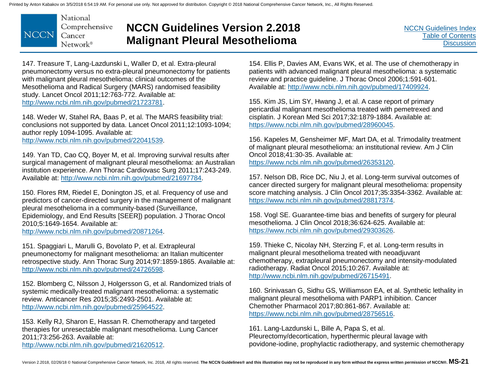

# **NCCN Guidelines Version 2.2018 Malignant Pleural Mesothelioma**

[NCCN Guidelines Index](http://www.nccn.org/professionals/physician_gls/f_guidelines.asp) [Table of Contents](#page-2-0) **[Discussion](#page-16-0)** 

147. Treasure T, Lang-Lazdunski L, Waller D, et al. Extra-pleural pneumonectomy versus no extra-pleural pneumonectomy for patients with malignant pleural mesothelioma: clinical outcomes of the Mesothelioma and Radical Surgery (MARS) randomised feasibility study. Lancet Oncol 2011;12:763-772. Available at: http://www.ncbi.nlm.nih.gov/pubmed/21723781.

148. Weder W, Stahel RA, Baas P, et al. The MARS feasibility trial: conclusions not supported by data. Lancet Oncol 2011;12:1093-1094; author reply 1094-1095. Available at: http://www.ncbi.nlm.nih.gov/pubmed/22041539.

149. Yan TD, Cao CQ, Boyer M, et al. Improving survival results after surgical management of malignant pleural mesothelioma: an Australian institution experience. Ann Thorac Cardiovasc Surg 2011;17:243-249. Available at: http://www.ncbi.nlm.nih.gov/pubmed/21697784.

150. Flores RM, Riedel E, Donington JS, et al. Frequency of use and predictors of cancer-directed surgery in the management of malignant pleural mesothelioma in a community-based (Surveillance, Epidemiology, and End Results [SEER]) population. J Thorac Oncol 2010;5:1649-1654. Available at: http://www.ncbi.nlm.nih.gov/pubmed/20871264.

151. Spaggiari L, Marulli G, Bovolato P, et al. Extrapleural pneumonectomy for malignant mesothelioma: an Italian multicenter retrospective study. Ann Thorac Surg 2014;97:1859-1865. Available at: http://www.ncbi.nlm.nih.gov/pubmed/24726598.

152. Blomberg C, Nilsson J, Holgersson G, et al. Randomized trials of systemic medically-treated malignant mesothelioma: a systematic review. Anticancer Res 2015;35:2493-2501. Available at: http://www.ncbi.nlm.nih.gov/pubmed/25964522.

153. Kelly RJ, Sharon E, Hassan R. Chemotherapy and targeted therapies for unresectable malignant mesothelioma. Lung Cancer 2011;73:256-263. Available at: http://www.ncbi.nlm.nih.gov/pubmed/21620512.

154. Ellis P, Davies AM, Evans WK, et al. The use of chemotherapy in patients with advanced malignant pleural mesothelioma: a systematic review and practice guideline. J Thorac Oncol 2006;1:591-601. Available at: http://www.ncbi.nlm.nih.gov/pubmed/17409924.

155. Kim JS, Lim SY, Hwang J, et al. A case report of primary pericardial malignant mesothelioma treated with pemetrexed and cisplatin. J Korean Med Sci 2017;32:1879-1884. Available at: https://www.ncbi.nlm.nih.gov/pubmed/28960045.

156. Kapeles M, Gensheimer MF, Mart DA, et al. Trimodality treatment of malignant pleural mesothelioma: an institutional review. Am J Clin Oncol 2018;41:30-35. Available at: https://www.ncbi.nlm.nih.gov/pubmed/26353120.

157. Nelson DB, Rice DC, Niu J, et al. Long-term survival outcomes of cancer directed surgery for malignant pleural mesothelioma: propensity score matching analysis. J Clin Oncol 2017;35:3354-3362. Available at: https://www.ncbi.nlm.nih.gov/pubmed/28817374.

158. Vogl SE. Guarantee-time bias and benefits of surgery for pleural mesothelioma. J Clin Oncol 2018;36:624-625. Available at: https://www.ncbi.nlm.nih.gov/pubmed/29303626.

159. Thieke C, Nicolay NH, Sterzing F, et al. Long-term results in malignant pleural mesothelioma treated with neoadjuvant chemotherapy, extrapleural pneumonectomy and intensity-modulated radiotherapy. Radiat Oncol 2015;10:267. Available at: http://www.ncbi.nlm.nih.gov/pubmed/26715491.

160. Srinivasan G, Sidhu GS, Williamson EA, et al. Synthetic lethality in malignant pleural mesothelioma with PARP1 inhibition. Cancer Chemother Pharmacol 2017;80:861-867. Available at: https://www.ncbi.nlm.nih.gov/pubmed/28756516.

161. Lang-Lazdunski L, Bille A, Papa S, et al. Pleurectomy/decortication, hyperthermic pleural lavage with povidone-iodine, prophylactic radiotherapy, and systemic chemotherapy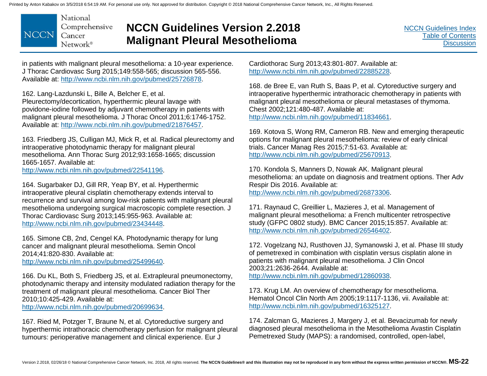

# **NCCN Guidelines Version 2.2018 Malignant Pleural Mesothelioma**

[NCCN Guidelines Index](http://www.nccn.org/professionals/physician_gls/f_guidelines.asp) [Table of Contents](#page-2-0) **[Discussion](#page-16-0)** 

in patients with malignant pleural mesothelioma: a 10-year experience. J Thorac Cardiovasc Surg 2015;149:558-565; discussion 565-556. Available at: http://www.ncbi.nlm.nih.gov/pubmed/25726878.

162. Lang-Lazdunski L, Bille A, Belcher E, et al. Pleurectomy/decortication, hyperthermic pleural lavage with povidone-iodine followed by adjuvant chemotherapy in patients with malignant pleural mesothelioma. J Thorac Oncol 2011;6:1746-1752. Available at: http://www.ncbi.nlm.nih.gov/pubmed/21876457.

163. Friedberg JS, Culligan MJ, Mick R, et al. Radical pleurectomy and intraoperative photodynamic therapy for malignant pleural mesothelioma. Ann Thorac Surg 2012;93:1658-1665; discussion 1665-1657. Available at:

http://www.ncbi.nlm.nih.gov/pubmed/22541196.

164. Sugarbaker DJ, Gill RR, Yeap BY, et al. Hyperthermic intraoperative pleural cisplatin chemotherapy extends interval to recurrence and survival among low-risk patients with malignant pleural mesothelioma undergoing surgical macroscopic complete resection. J Thorac Cardiovasc Surg 2013;145:955-963. Available at: http://www.ncbi.nlm.nih.gov/pubmed/23434448.

165. Simone CB, 2nd, Cengel KA. Photodynamic therapy for lung cancer and malignant pleural mesothelioma. Semin Oncol 2014;41:820-830. Available at:

http://www.ncbi.nlm.nih.gov/pubmed/25499640.

166. Du KL, Both S, Friedberg JS, et al. Extrapleural pneumonectomy, photodynamic therapy and intensity modulated radiation therapy for the treatment of malignant pleural mesothelioma. Cancer Biol Ther 2010;10:425-429. Available at: http://www.ncbi.nlm.nih.gov/pubmed/20699634.

167. Ried M, Potzger T, Braune N, et al. Cytoreductive surgery and hyperthermic intrathoracic chemotherapy perfusion for malignant pleural tumours: perioperative management and clinical experience. Eur J

Cardiothorac Surg 2013;43:801-807. Available at: http://www.ncbi.nlm.nih.gov/pubmed/22885228.

168. de Bree E, van Ruth S, Baas P, et al. Cytoreductive surgery and intraoperative hyperthermic intrathoracic chemotherapy in patients with malignant pleural mesothelioma or pleural metastases of thymoma. Chest 2002;121:480-487. Available at: http://www.ncbi.nlm.nih.gov/pubmed/11834661.

169. Kotova S, Wong RM, Cameron RB. New and emerging therapeutic options for malignant pleural mesothelioma: review of early clinical trials. Cancer Manag Res 2015;7:51-63. Available at: http://www.ncbi.nlm.nih.gov/pubmed/25670913.

170. Kondola S, Manners D, Nowak AK. Malignant pleural mesothelioma: an update on diagnosis and treatment options. Ther Adv Respir Dis 2016. Available at: http://www.ncbi.nlm.nih.gov/pubmed/26873306.

171. Raynaud C, Greillier L, Mazieres J, et al. Management of malignant pleural mesothelioma: a French multicenter retrospective study (GFPC 0802 study). BMC Cancer 2015;15:857. Available at: http://www.ncbi.nlm.nih.gov/pubmed/26546402.

172. Vogelzang NJ, Rusthoven JJ, Symanowski J, et al. Phase III study of pemetrexed in combination with cisplatin versus cisplatin alone in patients with malignant pleural mesothelioma. J Clin Oncol 2003;21:2636-2644. Available at: http://www.ncbi.nlm.nih.gov/pubmed/12860938.

173. Krug LM. An overview of chemotherapy for mesothelioma. Hematol Oncol Clin North Am 2005;19:1117-1136, vii. Available at: http://www.ncbi.nlm.nih.gov/pubmed/16325127.

174. Zalcman G, Mazieres J, Margery J, et al. Bevacizumab for newly diagnosed pleural mesothelioma in the Mesothelioma Avastin Cisplatin Pemetrexed Study (MAPS): a randomised, controlled, open-label,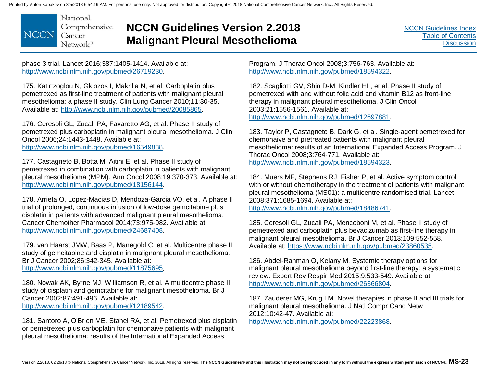National Comprehensive **NCCN** Cancer Network<sup>®</sup>

# **NCCN Guidelines Version 2.2018 Malignant Pleural Mesothelioma**

phase 3 trial. Lancet 2016;387:1405-1414. Available at: http://www.ncbi.nlm.nih.gov/pubmed/26719230.

175. Katirtzoglou N, Gkiozos I, Makrilia N, et al. Carboplatin plus pemetrexed as first-line treatment of patients with malignant pleural mesothelioma: a phase II study. Clin Lung Cancer 2010;11:30-35. Available at: http://www.ncbi.nlm.nih.gov/pubmed/20085865.

176. Ceresoli GL, Zucali PA, Favaretto AG, et al. Phase II study of pemetrexed plus carboplatin in malignant pleural mesothelioma. J Clin Oncol 2006;24:1443-1448. Available at: http://www.ncbi.nlm.nih.gov/pubmed/16549838.

177. Castagneto B, Botta M, Aitini E, et al. Phase II study of pemetrexed in combination with carboplatin in patients with malignant pleural mesothelioma (MPM). Ann Oncol 2008;19:370-373. Available at: http://www.ncbi.nlm.nih.gov/pubmed/18156144.

178. Arrieta O, Lopez-Macias D, Mendoza-Garcia VO, et al. A phase II trial of prolonged, continuous infusion of low-dose gemcitabine plus cisplatin in patients with advanced malignant pleural mesothelioma. Cancer Chemother Pharmacol 2014;73:975-982. Available at: http://www.ncbi.nlm.nih.gov/pubmed/24687408.

179. van Haarst JMW, Baas P, Manegold C, et al. Multicentre phase II study of gemcitabine and cisplatin in malignant pleural mesothelioma. Br J Cancer 2002;86:342-345. Available at: http://www.ncbi.nlm.nih.gov/pubmed/11875695.

180. Nowak AK, Byrne MJ, Williamson R, et al. A multicentre phase II study of cisplatin and gemcitabine for malignant mesothelioma. Br J Cancer 2002;87:491-496. Available at: http://www.ncbi.nlm.nih.gov/pubmed/12189542.

181. Santoro A, O'Brien ME, Stahel RA, et al. Pemetrexed plus cisplatin or pemetrexed plus carboplatin for chemonaive patients with malignant pleural mesothelioma: results of the International Expanded Access

Program. J Thorac Oncol 2008;3:756-763. Available at: http://www.ncbi.nlm.nih.gov/pubmed/18594322.

182. Scagliotti GV, Shin D-M, Kindler HL, et al. Phase II study of pemetrexed with and without folic acid and vitamin B12 as front-line therapy in malignant pleural mesothelioma. J Clin Oncol 2003;21:1556-1561. Available at: http://www.ncbi.nlm.nih.gov/pubmed/12697881.

183. Taylor P, Castagneto B, Dark G, et al. Single-agent pemetrexed for chemonaive and pretreated patients with malignant pleural mesothelioma: results of an International Expanded Access Program. J Thorac Oncol 2008;3:764-771. Available at: http://www.ncbi.nlm.nih.gov/pubmed/18594323.

184. Muers MF, Stephens RJ, Fisher P, et al. Active symptom control with or without chemotherapy in the treatment of patients with malignant pleural mesothelioma (MS01): a multicentre randomised trial. Lancet 2008;371:1685-1694. Available at:

http://www.ncbi.nlm.nih.gov/pubmed/18486741.

185. Ceresoli GL, Zucali PA, Mencoboni M, et al. Phase II study of pemetrexed and carboplatin plus bevacizumab as first-line therapy in malignant pleural mesothelioma. Br J Cancer 2013;109:552-558. Available at: https://www.ncbi.nlm.nih.gov/pubmed/23860535.

186. Abdel-Rahman O, Kelany M. Systemic therapy options for malignant pleural mesothelioma beyond first-line therapy: a systematic review. Expert Rev Respir Med 2015;9:533-549. Available at: http://www.ncbi.nlm.nih.gov/pubmed/26366804.

187. Zauderer MG, Krug LM. Novel therapies in phase II and III trials for malignant pleural mesothelioma. J Natl Compr Canc Netw 2012;10:42-47. Available at:

http://www.ncbi.nlm.nih.gov/pubmed/22223868.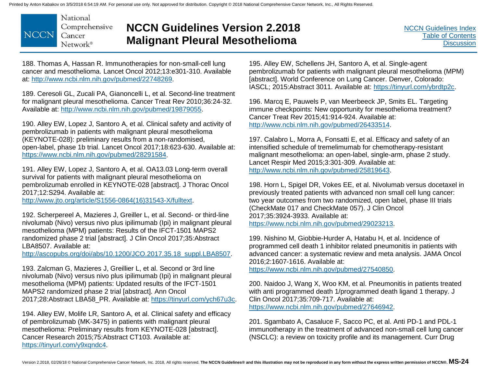National Comprehensive **NCCN** Cancer  $Network^{\circ}$ 

# **NCCN Guidelines Version 2.2018 Malignant Pleural Mesothelioma**

[NCCN Guidelines Index](http://www.nccn.org/professionals/physician_gls/f_guidelines.asp) [Table of Contents](#page-2-0) **[Discussion](#page-16-0)** 

188. Thomas A, Hassan R. Immunotherapies for non-small-cell lung cancer and mesothelioma. Lancet Oncol 2012;13:e301-310. Available at: http://www.ncbi.nlm.nih.gov/pubmed/22748269.

189. Ceresoli GL, Zucali PA, Gianoncelli L, et al. Second-line treatment for malignant pleural mesothelioma. Cancer Treat Rev 2010;36:24-32. Available at: http://www.ncbi.nlm.nih.gov/pubmed/19879055.

190. Alley EW, Lopez J, Santoro A, et al. Clinical safety and activity of pembrolizumab in patients with malignant pleural mesothelioma (KEYNOTE-028): preliminary results from a non-randomised, open-label, phase 1b trial. Lancet Oncol 2017;18:623-630. Available at: https://www.ncbi.nlm.nih.gov/pubmed/28291584.

191. Alley EW, Lopez J, Santoro A, et al. OA13.03 Long-term overall survival for patients with malignant pleural mesothelioma on pembrolizumab enrolled in KEYNOTE-028 [abstract]. J Thorac Oncol 2017;12:S294. Available at:

http://www.jto.org/article/S1556-0864(16)31543-X/fulltext.

192. Scherpereel A, Mazieres J, Greiller L, et al. Second- or third-line nivolumab (Nivo) versus nivo plus ipilimumab (Ipi) in malignant pleural mesothelioma (MPM) patients: Results of the IFCT-1501 MAPS2 randomized phase 2 trial [abstract]. J Clin Oncol 2017;35:Abstract LBA8507. Available at:

http://ascopubs.org/doi/abs/10.1200/JCO.2017.35.18\_suppl.LBA8507.

193. Zalcman G, Mazieres J, Greillier L, et al. Second or 3rd line nivolumab (Nivo) versus nivo plus ipilimumab (Ipi) in malignant pleural mesothelioma (MPM) patients: Updated results of the IFCT-1501 MAPS2 randomized phase 2 trial [abstract]. Ann Oncol 2017;28:Abstract LBA58\_PR. Available at: https://tinyurl.com/ych67u3c.

194. Alley EW, Molife LR, Santoro A, et al. Clinical safety and efficacy of pembrolizumab (MK-3475) in patients with malignant pleural mesothelioma: Preliminary results from KEYNOTE-028 [abstract]. Cancer Research 2015;75:Abstract CT103. Available at: https://tinvurl.com/v9xandc4.

195. Alley EW, Schellens JH, Santoro A, et al. Single-agent pembrolizumab for patients with malignant pleural mesothelioma (MPM) [abstract]. World Conference on Lung Cancer. Denver, Colorado: IASCL; 2015:Abstract 3011. Available at: https://tinyurl.com/ybrdtp2c.

196. Marcq E, Pauwels P, van Meerbeeck JP, Smits EL. Targeting immune checkpoints: New opportunity for mesothelioma treatment? Cancer Treat Rev 2015;41:914-924. Available at: http://www.ncbi.nlm.nih.gov/pubmed/26433514.

197. Calabro L, Morra A, Fonsatti E, et al. Efficacy and safety of an intensified schedule of tremelimumab for chemotherapy-resistant malignant mesothelioma: an open-label, single-arm, phase 2 study. Lancet Respir Med 2015;3:301-309. Available at: http://www.ncbi.nlm.nih.gov/pubmed/25819643.

198. Horn L, Spigel DR, Vokes EE, et al. Nivolumab versus docetaxel in previously treated patients with advanced non small cell lung cancer: two year outcomes from two randomized, open label, phase III trials (CheckMate 017 and CheckMate 057). J Clin Oncol 2017;35:3924-3933. Available at: https://www.ncbi.nlm.nih.gov/pubmed/29023213.

199. Nishino M, Giobbie-Hurder A, Hatabu H, et al. Incidence of programmed cell death 1 inhibitor related pneumonitis in patients with advanced cancer: a systematic review and meta analysis. JAMA Oncol 2016;2:1607-1616. Available at:

https://www.ncbi.nlm.nih.gov/pubmed/27540850.

200. Naidoo J, Wang X, Woo KM, et al. Pneumonitis in patients treated with anti programmed death 1/programmed death ligand 1 therapy. J Clin Oncol 2017;35:709-717. Available at: https://www.ncbi.nlm.nih.gov/pubmed/27646942.

201. Sgambato A, Casaluce F, Sacco PC, et al. Anti PD-1 and PDL-1 immunotherapy in the treatment of advanced non-small cell lung cancer (NSCLC): a review on toxicity profile and its management. Curr Drug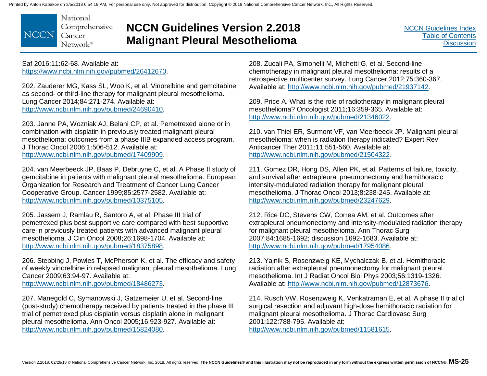National Comprehensive **NCCN** Cancer Network<sup>®</sup>

# **NCCN Guidelines Version 2.2018 Malignant Pleural Mesothelioma**

Saf 2016;11:62-68. Available at: https://www.ncbi.nlm.nih.gov/pubmed/26412670.

202. Zauderer MG, Kass SL, Woo K, et al. Vinorelbine and gemcitabine as second- or third-line therapy for malignant pleural mesothelioma. Lung Cancer 2014;84:271-274. Available at: http://www.ncbi.nlm.nih.gov/pubmed/24690410.

203. Janne PA, Wozniak AJ, Belani CP, et al. Pemetrexed alone or in combination with cisplatin in previously treated malignant pleural mesothelioma: outcomes from a phase IIIB expanded access program. J Thorac Oncol 2006;1:506-512. Available at: http://www.ncbi.nlm.nih.gov/pubmed/17409909.

204. van Meerbeeck JP, Baas P, Debruyne C, et al. A Phase II study of gemcitabine in patients with malignant pleural mesothelioma. European Organization for Research and Treatment of Cancer Lung Cancer Cooperative Group. Cancer 1999;85:2577-2582. Available at: http://www.ncbi.nlm.nih.gov/pubmed/10375105.

205. Jassem J, Ramlau R, Santoro A, et al. Phase III trial of pemetrexed plus best supportive care compared with best supportive care in previously treated patients with advanced malignant pleural mesothelioma. J Clin Oncol 2008;26:1698-1704. Available at: http://www.ncbi.nlm.nih.gov/pubmed/18375898.

206. Stebbing J, Powles T, McPherson K, et al. The efficacy and safety of weekly vinorelbine in relapsed malignant pleural mesothelioma. Lung Cancer 2009;63:94-97. Available at: http://www.ncbi.nlm.nih.gov/pubmed/18486273.

207. Manegold C, Symanowski J, Gatzemeier U, et al. Second-line (post-study) chemotherapy received by patients treated in the phase III trial of pemetrexed plus cisplatin versus cisplatin alone in malignant pleural mesothelioma. Ann Oncol 2005;16:923-927. Available at: http://www.ncbi.nlm.nih.gov/pubmed/15824080.

208. Zucali PA, Simonelli M, Michetti G, et al. Second-line chemotherapy in malignant pleural mesothelioma: results of a retrospective multicenter survey. Lung Cancer 2012;75:360-367. Available at: http://www.ncbi.nlm.nih.gov/pubmed/21937142.

209. Price A. What is the role of radiotherapy in malignant pleural mesothelioma? Oncologist 2011;16:359-365. Available at: http://www.ncbi.nlm.nih.gov/pubmed/21346022.

210. van Thiel ER, Surmont VF, van Meerbeeck JP. Malignant pleural mesothelioma: when is radiation therapy indicated? Expert Rev Anticancer Ther 2011;11:551-560. Available at: http://www.ncbi.nlm.nih.gov/pubmed/21504322.

211. Gomez DR, Hong DS, Allen PK, et al. Patterns of failure, toxicity, and survival after extrapleural pneumonectomy and hemithoracic intensity-modulated radiation therapy for malignant pleural mesothelioma. J Thorac Oncol 2013;8:238-245. Available at: http://www.ncbi.nlm.nih.gov/pubmed/23247629.

212. Rice DC, Stevens CW, Correa AM, et al. Outcomes after extrapleural pneumonectomy and intensity-modulated radiation therapy for malignant pleural mesothelioma. Ann Thorac Surg 2007;84:1685-1692; discussion 1692-1683. Available at: http://www.ncbi.nlm.nih.gov/pubmed/17954086.

213. Yajnik S, Rosenzweig KE, Mychalczak B, et al. Hemithoracic radiation after extrapleural pneumonectomy for malignant pleural mesothelioma. Int J Radiat Oncol Biol Phys 2003;56:1319-1326. Available at: http://www.ncbi.nlm.nih.gov/pubmed/12873676.

214. Rusch VW, Rosenzweig K, Venkatraman E, et al. A phase II trial of surgical resection and adjuvant high-dose hemithoracic radiation for malignant pleural mesothelioma. J Thorac Cardiovasc Surg 2001;122:788-795. Available at: http://www.ncbi.nlm.nih.gov/pubmed/11581615.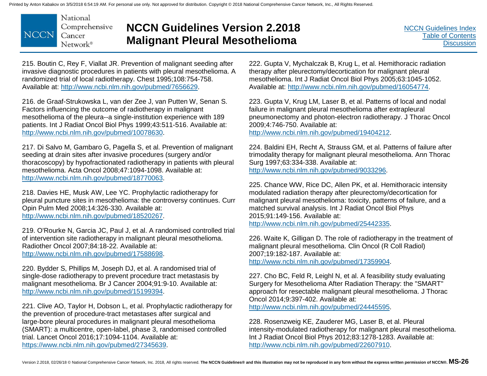National Comprehensive **NCCN** Cancer Network<sup>®</sup>

# **NCCN Guidelines Version 2.2018 Malignant Pleural Mesothelioma**

215. Boutin C, Rey F, Viallat JR. Prevention of malignant seeding after invasive diagnostic procedures in patients with pleural mesothelioma. A randomized trial of local radiotherapy. Chest 1995;108:754-758. Available at: http://www.ncbi.nlm.nih.gov/pubmed/7656629.

216. de Graaf-Strukowska L, van der Zee J, van Putten W, Senan S. Factors influencing the outcome of radiotherapy in malignant mesothelioma of the pleura--a single-institution experience with 189 patients. Int J Radiat Oncol Biol Phys 1999;43:511-516. Available at: http://www.ncbi.nlm.nih.gov/pubmed/10078630.

217. Di Salvo M, Gambaro G, Pagella S, et al. Prevention of malignant seeding at drain sites after invasive procedures (surgery and/or thoracoscopy) by hypofractionated radiotherapy in patients with pleural mesothelioma. Acta Oncol 2008;47:1094-1098. Available at: http://www.ncbi.nlm.nih.gov/pubmed/18770063.

218. Davies HE, Musk AW, Lee YC. Prophylactic radiotherapy for pleural puncture sites in mesothelioma: the controversy continues. Curr Opin Pulm Med 2008;14:326-330. Available at: http://www.ncbi.nlm.nih.gov/pubmed/18520267.

219. O'Rourke N, Garcia JC, Paul J, et al. A randomised controlled trial of intervention site radiotherapy in malignant pleural mesothelioma. Radiother Oncol 2007;84:18-22. Available at: http://www.ncbi.nlm.nih.gov/pubmed/17588698.

220. Bydder S, Phillips M, Joseph DJ, et al. A randomised trial of single-dose radiotherapy to prevent procedure tract metastasis by malignant mesothelioma. Br J Cancer 2004;91:9-10. Available at: http://www.ncbi.nlm.nih.gov/pubmed/15199394.

221. Clive AO, Taylor H, Dobson L, et al. Prophylactic radiotherapy for the prevention of procedure-tract metastases after surgical and large-bore pleural procedures in malignant pleural mesothelioma (SMART): a multicentre, open-label, phase 3, randomised controlled trial. Lancet Oncol 2016;17:1094-1104. Available at: https://www.ncbi.nlm.nih.gov/pubmed/27345639.

222. Gupta V, Mychalczak B, Krug L, et al. Hemithoracic radiation therapy after pleurectomy/decortication for malignant pleural mesothelioma. Int J Radiat Oncol Biol Phys 2005;63:1045-1052. Available at: http://www.ncbi.nlm.nih.gov/pubmed/16054774.

223. Gupta V, Krug LM, Laser B, et al. Patterns of local and nodal failure in malignant pleural mesothelioma after extrapleural pneumonectomy and photon-electron radiotherapy. J Thorac Oncol 2009;4:746-750. Available at:

http://www.ncbi.nlm.nih.gov/pubmed/19404212.

224. Baldini EH, Recht A, Strauss GM, et al. Patterns of failure after trimodality therapy for malignant pleural mesothelioma. Ann Thorac Surg 1997;63:334-338. Available at: http://www.ncbi.nlm.nih.gov/pubmed/9033296.

225. Chance WW, Rice DC, Allen PK, et al. Hemithoracic intensity modulated radiation therapy after pleurectomy/decortication for malignant pleural mesothelioma: toxicity, patterns of failure, and a matched survival analysis. Int J Radiat Oncol Biol Phys 2015;91:149-156. Available at: http://www.ncbi.nlm.nih.gov/pubmed/25442335.

226. Waite K, Gilligan D. The role of radiotherapy in the treatment of malignant pleural mesothelioma. Clin Oncol (R Coll Radiol) 2007;19:182-187. Available at:

http://www.ncbi.nlm.nih.gov/pubmed/17359904.

227. Cho BC, Feld R, Leighl N, et al. A feasibility study evaluating Surgery for Mesothelioma After Radiation Therapy: the "SMART" approach for resectable malignant pleural mesothelioma. J Thorac Oncol 2014;9:397-402. Available at:

http://www.ncbi.nlm.nih.gov/pubmed/24445595.

228. Rosenzweig KE, Zauderer MG, Laser B, et al. Pleural intensity-modulated radiotherapy for malignant pleural mesothelioma. Int J Radiat Oncol Biol Phys 2012;83:1278-1283. Available at: http://www.ncbi.nlm.nih.gov/pubmed/22607910.